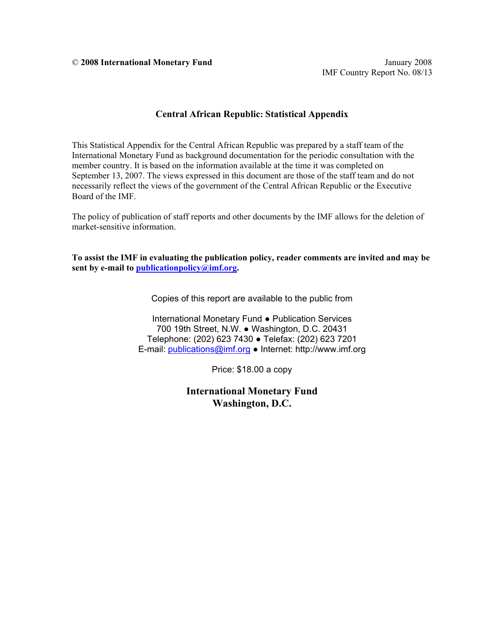© **2008 International Monetary Fund** January 2008

### **Central African Republic: Statistical Appendix**

This Statistical Appendix for the Central African Republic was prepared by a staff team of the International Monetary Fund as background documentation for the periodic consultation with the member country. It is based on the information available at the time it was completed on September 13, 2007. The views expressed in this document are those of the staff team and do not necessarily reflect the views of the government of the Central African Republic or the Executive Board of the IMF.

The policy of publication of staff reports and other documents by the IMF allows for the deletion of market-sensitive information.

**To assist the IMF in evaluating the publication policy, reader comments are invited and may be sent by e-mail to publicationpolicy@imf.org.** 

Copies of this report are available to the public from

International Monetary Fund ● Publication Services 700 19th Street, N.W. ● Washington, D.C. 20431 Telephone: (202) 623 7430 ● Telefax: (202) 623 7201 E-mail: publications@imf.org ● Internet: http://www.imf.org

Price: \$18.00 a copy

**International Monetary Fund Washington, D.C.**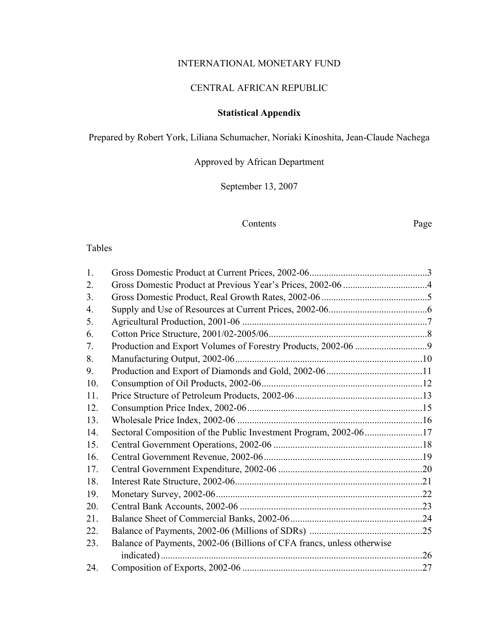## INTERNATIONAL MONETARY FUND

### CENTRAL AFRICAN REPUBLIC

## **Statistical Appendix**

Prepared by Robert York, Liliana Schumacher, Noriaki Kinoshita, Jean-Claude Nachega

# Approved by African Department

September 13, 2007

#### Contents Page

### Tables

| 1.  |                                                                        |  |
|-----|------------------------------------------------------------------------|--|
| 2.  |                                                                        |  |
| 3.  |                                                                        |  |
| 4.  |                                                                        |  |
| 5.  |                                                                        |  |
| 6.  |                                                                        |  |
| 7.  |                                                                        |  |
| 8.  |                                                                        |  |
| 9.  |                                                                        |  |
| 10. |                                                                        |  |
| 11. |                                                                        |  |
| 12. |                                                                        |  |
| 13. |                                                                        |  |
| 14. |                                                                        |  |
| 15. |                                                                        |  |
| 16. |                                                                        |  |
| 17. |                                                                        |  |
| 18. |                                                                        |  |
| 19. |                                                                        |  |
| 20. |                                                                        |  |
| 21. |                                                                        |  |
| 22. |                                                                        |  |
| 23. | Balance of Payments, 2002-06 (Billions of CFA francs, unless otherwise |  |
|     |                                                                        |  |
| 24. |                                                                        |  |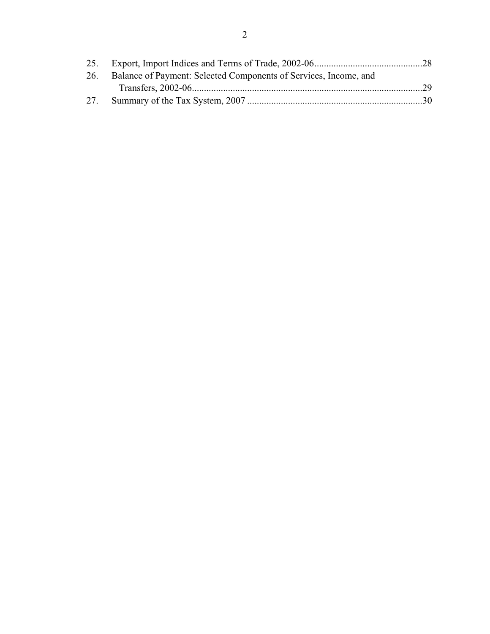| 26. Balance of Payment: Selected Components of Services, Income, and |  |
|----------------------------------------------------------------------|--|
|                                                                      |  |
|                                                                      |  |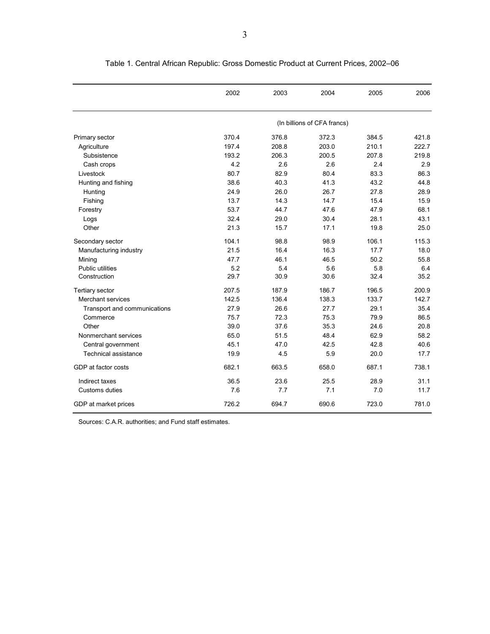|                              | 2002  | 2003  | 2004                        | 2005  | 2006  |
|------------------------------|-------|-------|-----------------------------|-------|-------|
|                              |       |       | (In billions of CFA francs) |       |       |
| Primary sector               | 370.4 | 376.8 | 372.3                       | 384.5 | 421.8 |
| Agriculture                  | 197.4 | 208.8 | 203.0                       | 210.1 | 222.7 |
| Subsistence                  | 193.2 | 206.3 | 200.5                       | 207.8 | 219.8 |
| Cash crops                   | 4.2   | 2.6   | 2.6                         | 2.4   | 2.9   |
| Livestock                    | 80.7  | 82.9  | 80.4                        | 83.3  | 86.3  |
| Hunting and fishing          | 38.6  | 40.3  | 41.3                        | 43.2  | 44.8  |
| Hunting                      | 24.9  | 26.0  | 26.7                        | 27.8  | 28.9  |
| Fishing                      | 13.7  | 14.3  | 14.7                        | 15.4  | 15.9  |
| Forestry                     | 53.7  | 44.7  | 47.6                        | 47.9  | 68.1  |
| Logs                         | 32.4  | 29.0  | 30.4                        | 28.1  | 43.1  |
| Other                        | 21.3  | 15.7  | 17.1                        | 19.8  | 25.0  |
| Secondary sector             | 104.1 | 98.8  | 98.9                        | 106.1 | 115.3 |
| Manufacturing industry       | 21.5  | 16.4  | 16.3                        | 17.7  | 18.0  |
| Mining                       | 47.7  | 46.1  | 46.5                        | 50.2  | 55.8  |
| <b>Public utilities</b>      | 5.2   | 5.4   | 5.6                         | 5.8   | 6.4   |
| Construction                 | 29.7  | 30.9  | 30.6                        | 32.4  | 35.2  |
| <b>Tertiary sector</b>       | 207.5 | 187.9 | 186.7                       | 196.5 | 200.9 |
| Merchant services            | 142.5 | 136.4 | 138.3                       | 133.7 | 142.7 |
| Transport and communications | 27.9  | 26.6  | 27.7                        | 29.1  | 35.4  |
| Commerce                     | 75.7  | 72.3  | 75.3                        | 79.9  | 86.5  |
| Other                        | 39.0  | 37.6  | 35.3                        | 24.6  | 20.8  |
| Nonmerchant services         | 65.0  | 51.5  | 48.4                        | 62.9  | 58.2  |
| Central government           | 45.1  | 47.0  | 42.5                        | 42.8  | 40.6  |
| Technical assistance         | 19.9  | 4.5   | 5.9                         | 20.0  | 17.7  |
| GDP at factor costs          | 682.1 | 663.5 | 658.0                       | 687.1 | 738.1 |
| Indirect taxes               | 36.5  | 23.6  | 25.5                        | 28.9  | 31.1  |
| Customs duties               | 7.6   | 7.7   | 7.1                         | 7.0   | 11.7  |
| GDP at market prices         | 726.2 | 694.7 | 690.6                       | 723.0 | 781.0 |

Table 1. Central African Republic: Gross Domestic Product at Current Prices, 2002–06

Sources: C.A.R. authorities; and Fund staff estimates.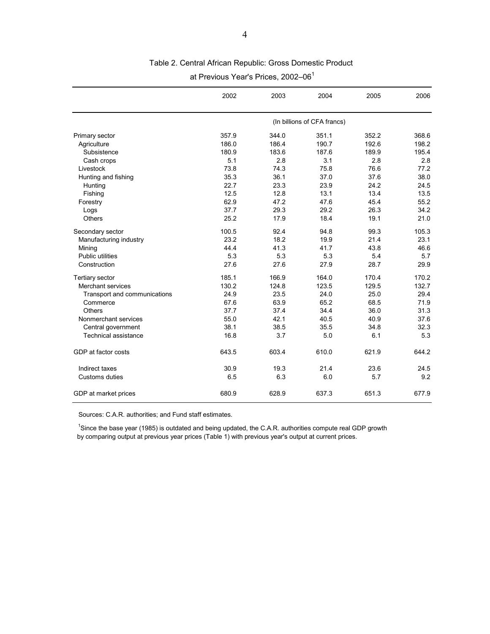#### Table 2. Central African Republic: Gross Domestic Product

### at Previous Year's Prices, 2002-06<sup>1</sup>

|                              | 2002  | 2003  | 2004                        | 2005  | 2006  |
|------------------------------|-------|-------|-----------------------------|-------|-------|
|                              |       |       | (In billions of CFA francs) |       |       |
| Primary sector               | 357.9 | 344.0 | 351.1                       | 352.2 | 368.6 |
| Agriculture                  | 186.0 | 186.4 | 190.7                       | 192.6 | 198.2 |
| Subsistence                  | 180.9 | 183.6 | 187.6                       | 189.9 | 195.4 |
| Cash crops                   | 5.1   | 2.8   | 3.1                         | 2.8   | 2.8   |
| Livestock                    | 73.8  | 74.3  | 75.8                        | 76.6  | 77.2  |
| Hunting and fishing          | 35.3  | 36.1  | 37.0                        | 37.6  | 38.0  |
| Hunting                      | 22.7  | 23.3  | 23.9                        | 24.2  | 24.5  |
| Fishing                      | 12.5  | 12.8  | 13.1                        | 13.4  | 13.5  |
| Forestry                     | 62.9  | 47.2  | 47.6                        | 45.4  | 55.2  |
| Logs                         | 37.7  | 29.3  | 29.2                        | 26.3  | 34.2  |
| <b>Others</b>                | 25.2  | 17.9  | 18.4                        | 19.1  | 21.0  |
| Secondary sector             | 100.5 | 92.4  | 94.8                        | 99.3  | 105.3 |
| Manufacturing industry       | 23.2  | 18.2  | 19.9                        | 21.4  | 23.1  |
| Mining                       | 44.4  | 41.3  | 41.7                        | 43.8  | 46.6  |
| <b>Public utilities</b>      | 5.3   | 5.3   | 5.3                         | 5.4   | 5.7   |
| Construction                 | 27.6  | 27.6  | 27.9                        | 28.7  | 29.9  |
| Tertiary sector              | 185.1 | 166.9 | 164.0                       | 170.4 | 170.2 |
| Merchant services            | 130.2 | 124.8 | 123.5                       | 129.5 | 132.7 |
| Transport and communications | 24.9  | 23.5  | 24.0                        | 25.0  | 29.4  |
| Commerce                     | 67.6  | 63.9  | 65.2                        | 68.5  | 71.9  |
| Others                       | 37.7  | 37.4  | 34.4                        | 36.0  | 31.3  |
| Nonmerchant services         | 55.0  | 42.1  | 40.5                        | 40.9  | 37.6  |
| Central government           | 38.1  | 38.5  | 35.5                        | 34.8  | 32.3  |
| <b>Technical assistance</b>  | 16.8  | 3.7   | 5.0                         | 6.1   | 5.3   |
| GDP at factor costs          | 643.5 | 603.4 | 610.0                       | 621.9 | 644.2 |
| Indirect taxes               | 30.9  | 19.3  | 21.4                        | 23.6  | 24.5  |
| Customs duties               | 6.5   | 6.3   | 6.0                         | 5.7   | 9.2   |
| GDP at market prices         | 680.9 | 628.9 | 637.3                       | 651.3 | 677.9 |

Sources: C.A.R. authorities; and Fund staff estimates.

<sup>1</sup>Since the base year (1985) is outdated and being updated, the C.A.R. authorities compute real GDP growth by comparing output at previous year prices (Table 1) with previous year's output at current prices.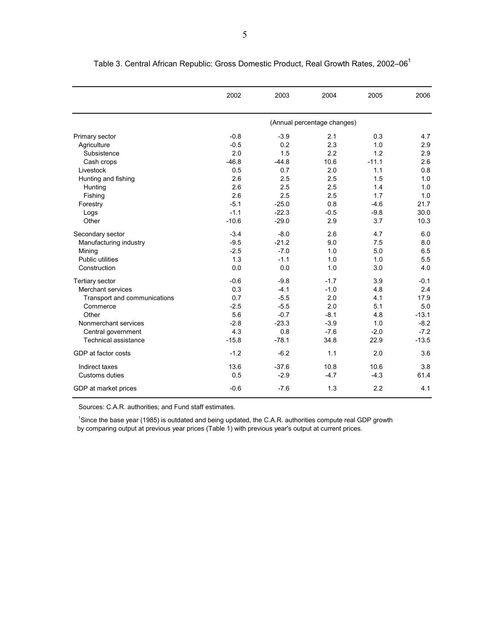|                              | 2002    | 2003    | 2004                        | 2005    | 2006    |
|------------------------------|---------|---------|-----------------------------|---------|---------|
|                              |         |         | (Annual percentage changes) |         |         |
| Primary sector               | $-0.8$  | $-3.9$  | 2.1                         | 0.3     | 4.7     |
| Agriculture                  | $-0.5$  | 0.2     | 2.3                         | 1.0     | 2.9     |
| Subsistence                  | 2.0     | 1.5     | 2.2                         | 1.2     | 2.9     |
| Cash crops                   | $-46.8$ | $-44.8$ | 10.6                        | $-11.1$ | 2.6     |
| Livestock                    | 0.5     | 0.7     | 2.0                         | 1.1     | 0.8     |
| Hunting and fishing          | 2.6     | 2.5     | 2.5                         | 1.5     | 1.0     |
| Hunting                      | 2.6     | 2.5     | 2.5                         | 1.4     | 1.0     |
| Fishing                      | 2.6     | 2.5     | 2.5                         | 1.7     | 1.0     |
| Forestry                     | $-5.1$  | $-25.0$ | 0.8                         | $-4.6$  | 21.7    |
| Logs                         | $-1.1$  | $-22.3$ | $-0.5$                      | $-9.8$  | 30.0    |
| Other                        | $-10.6$ | $-29.0$ | 2.9                         | 3.7     | 10.3    |
| Secondary sector             | $-3.4$  | $-8.0$  | 2.6                         | 4.7     | 6.0     |
| Manufacturing industry       | $-9.5$  | $-21.2$ | 9.0                         | 7.5     | 8.0     |
| Mining                       | $-2.5$  | $-7.0$  | 1.0                         | 5.0     | 6.5     |
| <b>Public utilities</b>      | 1.3     | $-1.1$  | 1.0                         | 1.0     | 5.5     |
| Construction                 | 0.0     | 0.0     | 1.0                         | 3.0     | 4.0     |
| <b>Tertiary sector</b>       | $-0.6$  | $-9.8$  | $-1.7$                      | 3.9     | $-0.1$  |
| Merchant services            | 0.3     | $-4.1$  | $-1.0$                      | 4.8     | 2.4     |
| Transport and communications | 0.7     | $-5.5$  | 2.0                         | 4.1     | 17.9    |
| Commerce                     | $-2.5$  | $-5.5$  | 2.0                         | 5.1     | 5.0     |
| Other                        | 5.6     | $-0.7$  | $-8.1$                      | 4.8     | $-13.1$ |
| Nonmerchant services         | $-2.8$  | $-23.3$ | $-3.9$                      | 1.0     | $-8.2$  |
| Central government           | 4.3     | 0.8     | $-7.6$                      | $-2.0$  | $-7.2$  |
| <b>Technical assistance</b>  | $-15.8$ | $-78.1$ | 34.8                        | 22.9    | $-13.5$ |
| GDP at factor costs          | $-1.2$  | $-6.2$  | 1.1                         | 2.0     | 3.6     |
| Indirect taxes               | 13.6    | $-37.6$ | 10.8                        | 10.6    | 3.8     |
| Customs duties               | 0.5     | $-2.9$  | $-4.7$                      | $-4.3$  | 61.4    |
| GDP at market prices         | $-0.6$  | $-7.6$  | 1.3                         | 2.2     | 4.1     |

Table 3. Central African Republic: Gross Domestic Product, Real Growth Rates, 2002–061

Sources: C.A.R. authorities; and Fund staff estimates.

<sup>1</sup>Since the base year (1985) is outdated and being updated, the C.A.R. authorities compute real GDP growth by comparing output at previous year prices (Table 1) with previous year's output at current prices.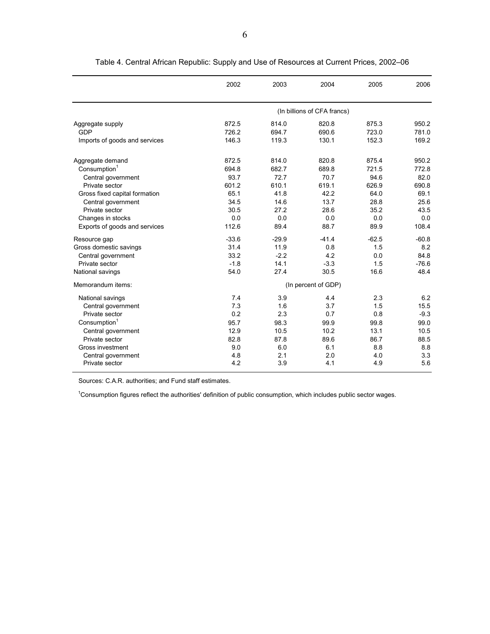|                               | 2002    | 2003    | 2004                        | 2005    | 2006    |
|-------------------------------|---------|---------|-----------------------------|---------|---------|
|                               |         |         | (In billions of CFA francs) |         |         |
| Aggregate supply              | 872.5   | 814.0   | 820.8                       | 875.3   | 950.2   |
| <b>GDP</b>                    | 726.2   | 694.7   | 690.6                       | 723.0   | 781.0   |
| Imports of goods and services | 146.3   | 119.3   | 130.1                       | 152.3   | 169.2   |
| Aggregate demand              | 872.5   | 814.0   | 820.8                       | 875.4   | 950.2   |
| Consumption <sup>1</sup>      | 694.8   | 682.7   | 689.8                       | 721.5   | 772.8   |
| Central government            | 93.7    | 72.7    | 70.7                        | 94.6    | 82.0    |
| Private sector                | 601.2   | 610.1   | 619.1                       | 626.9   | 690.8   |
| Gross fixed capital formation | 65.1    | 41.8    | 42.2                        | 64.0    | 69.1    |
| Central government            | 34.5    | 14.6    | 13.7                        | 28.8    | 25.6    |
| Private sector                | 30.5    | 27.2    | 28.6                        | 35.2    | 43.5    |
| Changes in stocks             | 0.0     | 0.0     | 0.0                         | 0.0     | 0.0     |
| Exports of goods and services | 112.6   | 89.4    | 88.7                        | 89.9    | 108.4   |
| Resource gap                  | $-33.6$ | $-29.9$ | $-41.4$                     | $-62.5$ | $-60.8$ |
| Gross domestic savings        | 31.4    | 11.9    | 0.8                         | 1.5     | 8.2     |
| Central government            | 33.2    | $-2.2$  | 4.2                         | 0.0     | 84.8    |
| Private sector                | $-1.8$  | 14.1    | $-3.3$                      | 1.5     | $-76.6$ |
| National savings              | 54.0    | 27.4    | 30.5                        | 16.6    | 48.4    |
| Memorandum items:             |         |         | (In percent of GDP)         |         |         |
| National savings              | 7.4     | 3.9     | 4.4                         | 2.3     | 6.2     |
| Central government            | 7.3     | 1.6     | 3.7                         | 1.5     | 15.5    |
| Private sector                | 0.2     | 2.3     | 0.7                         | 0.8     | $-9.3$  |
| Consumption <sup>1</sup>      | 95.7    | 98.3    | 99.9                        | 99.8    | 99.0    |
| Central government            | 12.9    | 10.5    | 10.2                        | 13.1    | 10.5    |
| Private sector                | 82.8    | 87.8    | 89.6                        | 86.7    | 88.5    |
| Gross investment              | 9.0     | 6.0     | 6.1                         | 8.8     | 8.8     |
| Central government            | 4.8     | 2.1     | 2.0                         | 4.0     | 3.3     |
| Private sector                | 4.2     | 3.9     | 4.1                         | 4.9     | 5.6     |

Table 4. Central African Republic: Supply and Use of Resources at Current Prices, 2002–06

Sources: C.A.R. authorities; and Fund staff estimates.

1 Consumption figures reflect the authorities' definition of public consumption, which includes public sector wages.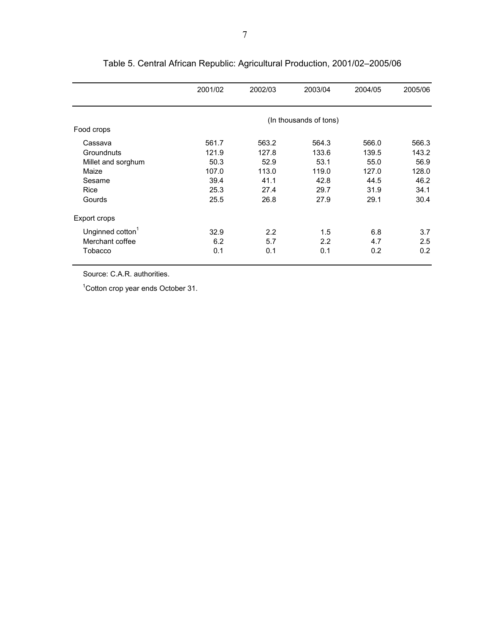|                              | 2001/02 | 2002/03 | 2003/04                | 2004/05 | 2005/06 |
|------------------------------|---------|---------|------------------------|---------|---------|
|                              |         |         | (In thousands of tons) |         |         |
| Food crops                   |         |         |                        |         |         |
| Cassava                      | 561.7   | 563.2   | 564.3                  | 566.0   | 566.3   |
| Groundnuts                   | 121.9   | 127.8   | 133.6                  | 139.5   | 143.2   |
| Millet and sorghum           | 50.3    | 52.9    | 53.1                   | 55.0    | 56.9    |
| Maize                        | 107.0   | 113.0   | 119.0                  | 127.0   | 128.0   |
| Sesame                       | 39.4    | 41.1    | 42.8                   | 44.5    | 46.2    |
| Rice                         | 25.3    | 27.4    | 29.7                   | 31.9    | 34.1    |
| Gourds                       | 25.5    | 26.8    | 27.9                   | 29.1    | 30.4    |
| Export crops                 |         |         |                        |         |         |
| Unginned cotton <sup>1</sup> | 32.9    | 2.2     | 1.5                    | 6.8     | 3.7     |
| Merchant coffee              | 6.2     | 5.7     | 2.2                    | 4.7     | 2.5     |
| Tobacco                      | 0.1     | 0.1     | 0.1                    | 0.2     | 0.2     |

|  |  | Table 5. Central African Republic: Agricultural Production, 2001/02-2005/06 |
|--|--|-----------------------------------------------------------------------------|
|  |  |                                                                             |

Source: C.A.R. authorities.

<sup>1</sup> Cotton crop year ends October 31.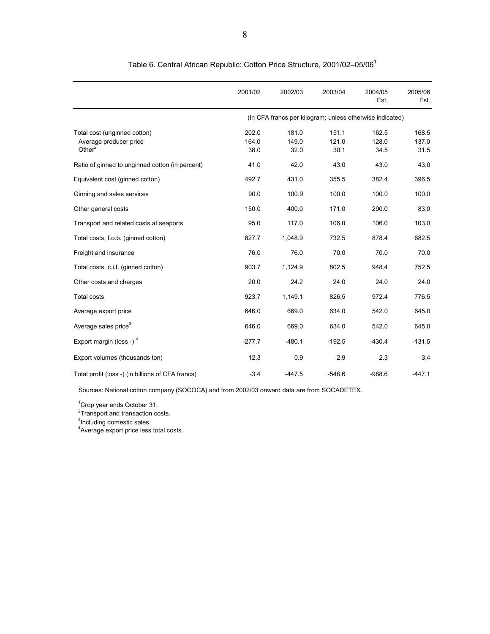|                                                                      | 2001/02                | 2002/03                | 2003/04                | 2004/05<br>Est.                                          | 2005/06<br>Est.        |
|----------------------------------------------------------------------|------------------------|------------------------|------------------------|----------------------------------------------------------|------------------------|
|                                                                      |                        |                        |                        | (In CFA francs per kilogram; unless otherwise indicated) |                        |
| Total cost (unginned cotton)<br>Average producer price<br>Other $^2$ | 202.0<br>164.0<br>38.0 | 181.0<br>149.0<br>32.0 | 151.1<br>121.0<br>30.1 | 162.5<br>128.0<br>34.5                                   | 168.5<br>137.0<br>31.5 |
| Ratio of ginned to unginned cotton (in percent)                      | 41.0                   | 42.0                   | 43.0                   | 43.0                                                     | 43.0                   |
| Equivalent cost (ginned cotton)                                      | 492.7                  | 431.0                  | 355.5                  | 382.4                                                    | 396.5                  |
| Ginning and sales services                                           | 90.0                   | 100.9                  | 100.0                  | 100.0                                                    | 100.0                  |
| Other general costs                                                  | 150.0                  | 400.0                  | 171.0                  | 290.0                                                    | 83.0                   |
| Transport and related costs at seaports                              | 95.0                   | 117.0                  | 106.0                  | 106.0                                                    | 103.0                  |
| Total costs, f.o.b. (ginned cotton)                                  | 827.7                  | 1,048.9                | 732.5                  | 878.4                                                    | 682.5                  |
| Freight and insurance                                                | 76.0                   | 76.0                   | 70.0                   | 70.0                                                     | 70.0                   |
| Total costs, c.i.f. (ginned cotton)                                  | 903.7                  | 1,124.9                | 802.5                  | 948.4                                                    | 752.5                  |
| Other costs and charges                                              | 20.0                   | 24.2                   | 24.0                   | 24.0                                                     | 24.0                   |
| <b>Total costs</b>                                                   | 923.7                  | 1,149.1                | 826.5                  | 972.4                                                    | 776.5                  |
| Average export price                                                 | 646.0                  | 669.0                  | 634.0                  | 542.0                                                    | 645.0                  |
| Average sales price <sup>3</sup>                                     | 646.0                  | 669.0                  | 634.0                  | 542.0                                                    | 645.0                  |
| Export margin (loss -) $4$                                           | $-277.7$               | $-480.1$               | $-192.5$               | $-430.4$                                                 | $-131.5$               |
| Export volumes (thousands ton)                                       | 12.3                   | 0.9                    | 2.9                    | 2.3                                                      | 3.4                    |
| Total profit (loss -) (in billions of CFA francs)                    | $-3.4$                 | $-447.5$               | $-548.6$               | $-988.6$                                                 | $-447.1$               |

Table 6. Central African Republic: Cotton Price Structure, 2001/02–05/061

Sources: National cotton company (SOCOCA) and from 2002/03 onward data are from SOCADETEX.

<sup>1</sup> Crop year ends October 31.

<sup>2</sup>Transport and transaction costs.<br><sup>3</sup>Including domestic sales.<br><sup>4</sup>Average export price less total costs.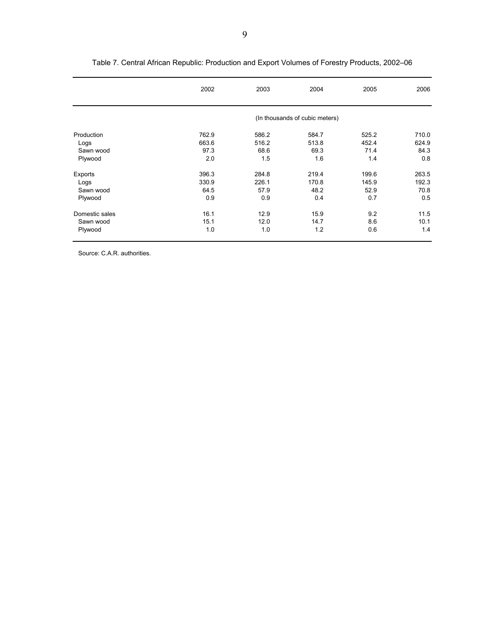|                | 2002  | 2003  | 2004                           | 2005  | 2006  |
|----------------|-------|-------|--------------------------------|-------|-------|
|                |       |       | (In thousands of cubic meters) |       |       |
| Production     | 762.9 | 586.2 | 584.7                          | 525.2 | 710.0 |
| Logs           | 663.6 | 516.2 | 513.8                          | 452.4 | 624.9 |
| Sawn wood      | 97.3  | 68.6  | 69.3                           | 71.4  | 84.3  |
| Plywood        | 2.0   | 1.5   | 1.6                            | 1.4   | 0.8   |
| Exports        | 396.3 | 284.8 | 219.4                          | 199.6 | 263.5 |
| Logs           | 330.9 | 226.1 | 170.8                          | 145.9 | 192.3 |
| Sawn wood      | 64.5  | 57.9  | 48.2                           | 52.9  | 70.8  |
| Plywood        | 0.9   | 0.9   | 0.4                            | 0.7   | 0.5   |
| Domestic sales | 16.1  | 12.9  | 15.9                           | 9.2   | 11.5  |
| Sawn wood      | 15.1  | 12.0  | 14.7                           | 8.6   | 10.1  |
| Plywood        | 1.0   | 1.0   | 1.2                            | 0.6   | 1.4   |

| Table 7. Central African Republic: Production and Export Volumes of Forestry Products, 2002-06 |  |
|------------------------------------------------------------------------------------------------|--|
|                                                                                                |  |

Source: C.A.R. authorities.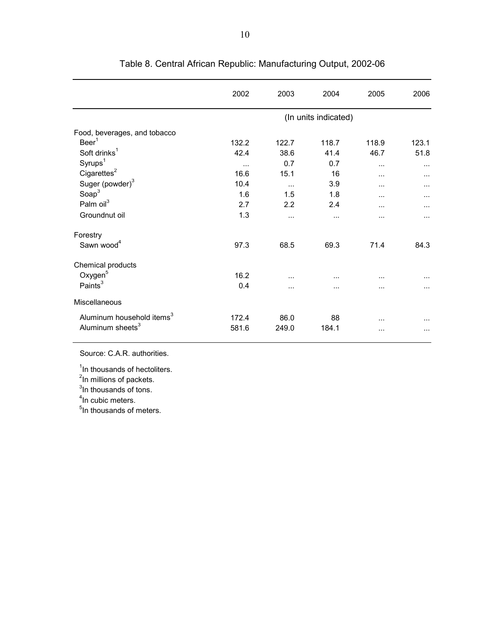|                                       | 2002  | 2003     | 2004                 | 2005  | 2006      |
|---------------------------------------|-------|----------|----------------------|-------|-----------|
|                                       |       |          | (In units indicated) |       |           |
| Food, beverages, and tobacco          |       |          |                      |       |           |
| Beer <sup>1</sup>                     | 132.2 | 122.7    | 118.7                | 118.9 | 123.1     |
| Soft drinks <sup>1</sup>              | 42.4  | 38.6     | 41.4                 | 46.7  | 51.8      |
| Syrups <sup>1</sup>                   |       | 0.7      | 0.7                  | .     |           |
| Cigarettes $2$                        | 16.6  | 15.1     | 16                   |       |           |
| Suger (powder) <sup>3</sup>           | 10.4  | $\cdots$ | 3.9                  |       |           |
| Soap <sup>3</sup>                     | 1.6   | 1.5      | 1.8                  | .     | $\cdots$  |
| Palm oil <sup>3</sup>                 | 2.7   | 2.2      | 2.4                  |       | $\cdots$  |
| Groundnut oil                         | 1.3   | $\cdots$ |                      |       | $\cdots$  |
| Forestry                              |       |          |                      |       |           |
| Sawn wood <sup>4</sup>                | 97.3  | 68.5     | 69.3                 | 71.4  | 84.3      |
| Chemical products                     |       |          |                      |       |           |
| Oxygen <sup>5</sup>                   | 16.2  |          |                      | .     |           |
| Paints <sup>3</sup>                   | 0.4   | .        |                      | .     |           |
| Miscellaneous                         |       |          |                      |       |           |
| Aluminum household items <sup>3</sup> | 172.4 | 86.0     | 88                   | .     |           |
| Aluminum sheets <sup>3</sup>          | 581.6 | 249.0    | 184.1                |       | $\ddotsc$ |

|  |  |  |  | Table 8. Central African Republic: Manufacturing Output, 2002-06 |  |  |
|--|--|--|--|------------------------------------------------------------------|--|--|
|--|--|--|--|------------------------------------------------------------------|--|--|

Source: C.A.R. authorities.

 $1$ n thousands of hectoliters.<br> $2$ In millions of packets.<br> $3$ In thousands of tons.

<sup>4</sup>In cubic meters.

<sup>5</sup>In thousands of meters.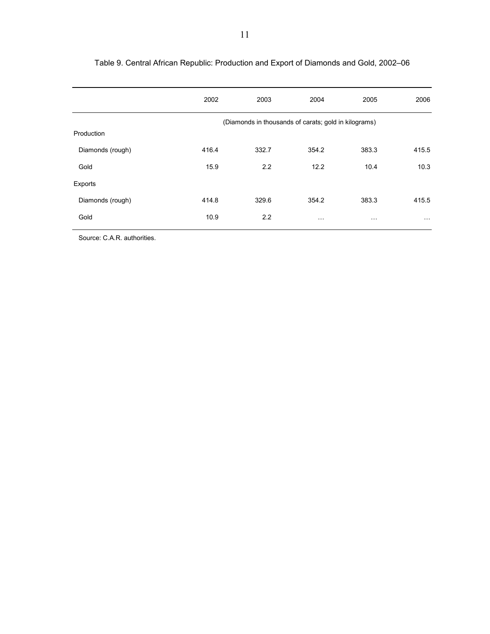|                  | 2002  | 2003                                                 | 2004     | 2005     | 2006     |
|------------------|-------|------------------------------------------------------|----------|----------|----------|
|                  |       | (Diamonds in thousands of carats; gold in kilograms) |          |          |          |
| Production       |       |                                                      |          |          |          |
| Diamonds (rough) | 416.4 | 332.7                                                | 354.2    | 383.3    | 415.5    |
| Gold             | 15.9  | 2.2                                                  | 12.2     | 10.4     | 10.3     |
| Exports          |       |                                                      |          |          |          |
| Diamonds (rough) | 414.8 | 329.6                                                | 354.2    | 383.3    | 415.5    |
| Gold             | 10.9  | 2.2                                                  | $\cdots$ | $\cdots$ | $\cdots$ |

Table 9. Central African Republic: Production and Export of Diamonds and Gold, 2002–06

Source: C.A.R. authorities.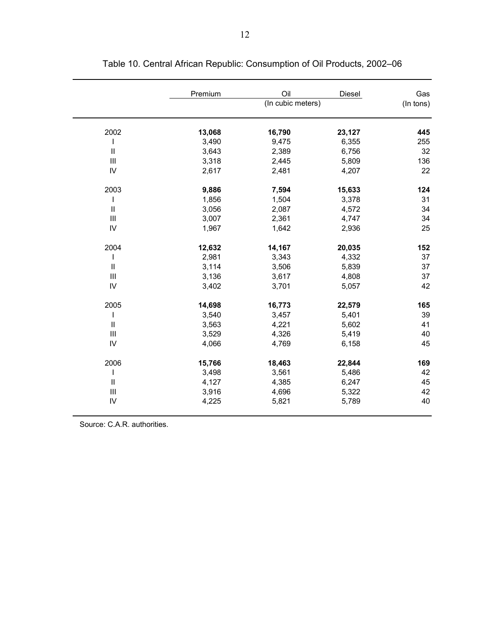|                             | Premium | Oil               | Diesel | Gas       |
|-----------------------------|---------|-------------------|--------|-----------|
|                             |         | (In cubic meters) |        | (In tons) |
|                             |         |                   |        |           |
| 2002                        | 13,068  | 16,790            | 23,127 | 445       |
|                             | 3,490   | 9,475             | 6,355  | 255       |
| $\vert\vert$                | 3,643   | 2,389             | 6,756  | 32        |
| III                         | 3,318   | 2,445             | 5,809  | 136       |
| ${\sf IV}$                  | 2,617   | 2,481             | 4,207  | 22        |
| 2003                        | 9,886   | 7,594             | 15,633 | 124       |
|                             | 1,856   | 1,504             | 3,378  | 31        |
| $\vert\vert$                | 3,056   | 2,087             | 4,572  | 34        |
| $\mathbf{III}$              | 3,007   | 2,361             | 4,747  | 34        |
| IV                          | 1,967   | 1,642             | 2,936  | 25        |
| 2004                        | 12,632  | 14,167            | 20,035 | 152       |
|                             | 2,981   | 3,343             | 4,332  | 37        |
| $\ensuremath{\mathsf{II}}$  | 3,114   | 3,506             | 5,839  | 37        |
| $\mathbf{III}$              | 3,136   | 3,617             | 4,808  | 37        |
| IV                          | 3,402   | 3,701             | 5,057  | 42        |
| 2005                        | 14,698  | 16,773            | 22,579 | 165       |
| I                           | 3,540   | 3,457             | 5,401  | 39        |
| $\vert\vert$                | 3,563   | 4,221             | 5,602  | 41        |
| $\mathop{\rm III}\nolimits$ | 3,529   | 4,326             | 5,419  | 40        |
| ${\sf IV}$                  | 4,066   | 4,769             | 6,158  | 45        |
|                             |         |                   |        |           |
| 2006                        | 15,766  | 18,463            | 22,844 | 169       |
| I                           | 3,498   | 3,561             | 5,486  | 42        |
| $\rm{II}$                   | 4,127   | 4,385             | 6,247  | 45        |
| $\mathbf{III}$              | 3,916   | 4,696             | 5,322  | 42        |
| IV                          | 4,225   | 5,821             | 5,789  | 40        |

Table 10. Central African Republic: Consumption of Oil Products, 2002–06

Source: C.A.R. authorities.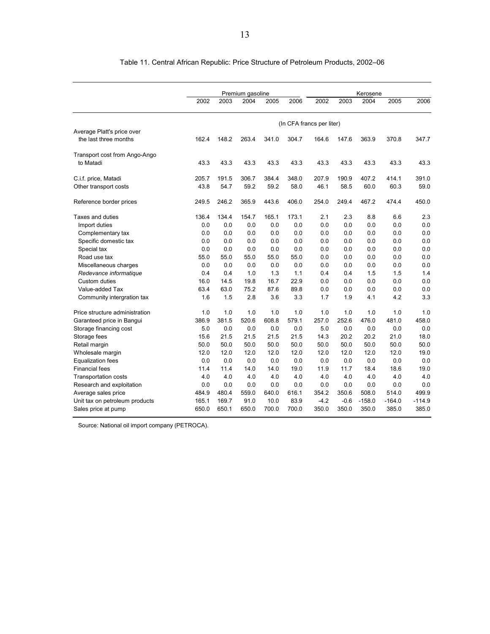|                                |       |       | Premium gasoline |       |       |                           |        | Kerosene |          |          |
|--------------------------------|-------|-------|------------------|-------|-------|---------------------------|--------|----------|----------|----------|
|                                | 2002  | 2003  | 2004             | 2005  | 2006  | 2002                      | 2003   | 2004     | 2005     | 2006     |
|                                |       |       |                  |       |       | (In CFA francs per liter) |        |          |          |          |
| Average Platt's price over     |       |       |                  |       |       |                           |        |          |          |          |
| the last three months          | 162.4 | 148.2 | 263.4            | 341.0 | 304.7 | 164.6                     | 147.6  | 363.9    | 370.8    | 347.7    |
| Transport cost from Ango-Ango  |       |       |                  |       |       |                           |        |          |          |          |
| to Matadi                      | 43.3  | 43.3  | 43.3             | 43.3  | 43.3  | 43.3                      | 43.3   | 43.3     | 43.3     | 43.3     |
| C.i.f. price, Matadi           | 205.7 | 191.5 | 306.7            | 384.4 | 348.0 | 207.9                     | 190.9  | 407.2    | 414.1    | 391.0    |
| Other transport costs          | 43.8  | 54.7  | 59.2             | 59.2  | 58.0  | 46.1                      | 58.5   | 60.0     | 60.3     | 59.0     |
| Reference border prices        | 249.5 | 246.2 | 365.9            | 443.6 | 406.0 | 254.0                     | 249.4  | 467.2    | 474.4    | 450.0    |
| Taxes and duties               | 136.4 | 134.4 | 154.7            | 165.1 | 173.1 | 2.1                       | 2.3    | 8.8      | 6.6      | 2.3      |
| Import duties                  | 0.0   | 0.0   | 0.0              | 0.0   | 0.0   | 0.0                       | 0.0    | 0.0      | 0.0      | 0.0      |
| Complementary tax              | 0.0   | 0.0   | 0.0              | 0.0   | 0.0   | 0.0                       | 0.0    | 0.0      | 0.0      | 0.0      |
| Specific domestic tax          | 0.0   | 0.0   | 0.0              | 0.0   | 0.0   | 0.0                       | 0.0    | 0.0      | 0.0      | 0.0      |
| Special tax                    | 0.0   | 0.0   | 0.0              | 0.0   | 0.0   | 0.0                       | 0.0    | 0.0      | 0.0      | 0.0      |
| Road use tax                   | 55.0  | 55.0  | 55.0             | 55.0  | 55.0  | 0.0                       | 0.0    | 0.0      | 0.0      | 0.0      |
| Miscellaneous charges          | 0.0   | 0.0   | 0.0              | 0.0   | 0.0   | 0.0                       | 0.0    | 0.0      | 0.0      | 0.0      |
| Redevance informatique         | 0.4   | 0.4   | 1.0              | 1.3   | 1.1   | 0.4                       | 0.4    | 1.5      | 1.5      | 1.4      |
| Custom duties                  | 16.0  | 14.5  | 19.8             | 16.7  | 22.9  | 0.0                       | 0.0    | 0.0      | 0.0      | 0.0      |
| Value-added Tax                | 63.4  | 63.0  | 75.2             | 87.6  | 89.8  | 0.0                       | 0.0    | 0.0      | 0.0      | 0.0      |
| Community intergration tax     | 1.6   | 1.5   | 2.8              | 3.6   | 3.3   | 1.7                       | 1.9    | 4.1      | 4.2      | 3.3      |
| Price structure administration | 1.0   | 1.0   | 1.0              | 1.0   | 1.0   | 1.0                       | 1.0    | 1.0      | 1.0      | 1.0      |
| Garanteed price in Banqui      | 386.9 | 381.5 | 520.6            | 608.8 | 579.1 | 257.0                     | 252.6  | 476.0    | 481.0    | 458.0    |
| Storage financing cost         | 5.0   | 0.0   | 0.0              | 0.0   | 0.0   | 5.0                       | 0.0    | 0.0      | 0.0      | 0.0      |
| Storage fees                   | 15.6  | 21.5  | 21.5             | 21.5  | 21.5  | 14.3                      | 20.2   | 20.2     | 21.0     | 18.0     |
| Retail margin                  | 50.0  | 50.0  | 50.0             | 50.0  | 50.0  | 50.0                      | 50.0   | 50.0     | 50.0     | 50.0     |
| Wholesale margin               | 12.0  | 12.0  | 12.0             | 12.0  | 12.0  | 12.0                      | 12.0   | 12.0     | 12.0     | 19.0     |
| <b>Equalization fees</b>       | 0.0   | 0.0   | 0.0              | 0.0   | 0.0   | 0.0                       | 0.0    | 0.0      | 0.0      | 0.0      |
| <b>Financial fees</b>          | 11.4  | 11.4  | 14.0             | 14.0  | 19.0  | 11.9                      | 11.7   | 18.4     | 18.6     | 19.0     |
| <b>Transportation costs</b>    | 4.0   | 4.0   | 4.0              | 4.0   | 4.0   | 4.0                       | 4.0    | 4.0      | 4.0      | 4.0      |
| Research and exploitation      | 0.0   | 0.0   | 0.0              | 0.0   | 0.0   | 0.0                       | 0.0    | 0.0      | 0.0      | 0.0      |
| Average sales price            | 484.9 | 480.4 | 559.0            | 640.0 | 616.1 | 354.2                     | 350.6  | 508.0    | 514.0    | 499.9    |
| Unit tax on petroleum products | 165.1 | 169.7 | 91.0             | 10.0  | 83.9  | $-4.2$                    | $-0.6$ | $-158.0$ | $-164.0$ | $-114.9$ |
| Sales price at pump            | 650.0 | 650.1 | 650.0            | 700.0 | 700.0 | 350.0                     | 350.0  | 350.0    | 385.0    | 385.0    |

Table 11. Central African Republic: Price Structure of Petroleum Products, 2002–06

Source: National oil import company (PETROCA).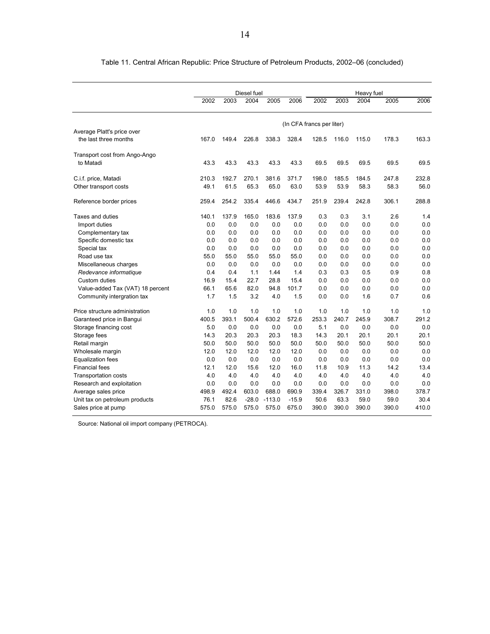|                                  |       |       | Diesel fuel |          |         |                           |       | Heavy fuel |       |       |
|----------------------------------|-------|-------|-------------|----------|---------|---------------------------|-------|------------|-------|-------|
|                                  | 2002  | 2003  | 2004        | 2005     | 2006    | 2002                      | 2003  | 2004       | 2005  | 2006  |
|                                  |       |       |             |          |         | (In CFA francs per liter) |       |            |       |       |
| Average Platt's price over       |       |       |             |          |         |                           |       |            |       |       |
| the last three months            | 167.0 | 149.4 | 226.8       | 338.3    | 328.4   | 128.5                     | 116.0 | 115.0      | 178.3 | 163.3 |
| Transport cost from Ango-Ango    |       |       |             |          |         |                           |       |            |       |       |
| to Matadi                        | 43.3  | 43.3  | 43.3        | 43.3     | 43.3    | 69.5                      | 69.5  | 69.5       | 69.5  | 69.5  |
| C.i.f. price, Matadi             | 210.3 | 192.7 | 270.1       | 381.6    | 371.7   | 198.0                     | 185.5 | 184.5      | 247.8 | 232.8 |
| Other transport costs            | 49.1  | 61.5  | 65.3        | 65.0     | 63.0    | 53.9                      | 53.9  | 58.3       | 58.3  | 56.0  |
| Reference border prices          | 259.4 | 254.2 | 335.4       | 446.6    | 434.7   | 251.9                     | 239.4 | 242.8      | 306.1 | 288.8 |
| Taxes and duties                 | 140.1 | 137.9 | 165.0       | 183.6    | 137.9   | 0.3                       | 0.3   | 3.1        | 2.6   | 1.4   |
| Import duties                    | 0.0   | 0.0   | 0.0         | 0.0      | 0.0     | 0.0                       | 0.0   | 0.0        | 0.0   | 0.0   |
| Complementary tax                | 0.0   | 0.0   | 0.0         | 0.0      | 0.0     | 0.0                       | 0.0   | 0.0        | 0.0   | 0.0   |
| Specific domestic tax            | 0.0   | 0.0   | 0.0         | 0.0      | 0.0     | 0.0                       | 0.0   | 0.0        | 0.0   | 0.0   |
| Special tax                      | 0.0   | 0.0   | 0.0         | 0.0      | 0.0     | 0.0                       | 0.0   | 0.0        | 0.0   | 0.0   |
| Road use tax                     | 55.0  | 55.0  | 55.0        | 55.0     | 55.0    | 0.0                       | 0.0   | 0.0        | 0.0   | 0.0   |
| Miscellaneous charges            | 0.0   | 0.0   | 0.0         | 0.0      | 0.0     | 0.0                       | 0.0   | 0.0        | 0.0   | 0.0   |
| Redevance informatique           | 0.4   | 0.4   | 1.1         | 1.44     | 1.4     | 0.3                       | 0.3   | 0.5        | 0.9   | 0.8   |
| Custom duties                    | 16.9  | 15.4  | 22.7        | 28.8     | 15.4    | 0.0                       | 0.0   | 0.0        | 0.0   | 0.0   |
| Value-added Tax (VAT) 18 percent | 66.1  | 65.6  | 82.0        | 94.8     | 101.7   | 0.0                       | 0.0   | 0.0        | 0.0   | 0.0   |
| Community intergration tax       | 1.7   | 1.5   | 3.2         | 4.0      | 1.5     | 0.0                       | 0.0   | 1.6        | 0.7   | 0.6   |
| Price structure administration   | 1.0   | 1.0   | 1.0         | 1.0      | 1.0     | 1.0                       | 1.0   | 1.0        | 1.0   | 1.0   |
| Garanteed price in Bangui        | 400.5 | 393.1 | 500.4       | 630.2    | 572.6   | 253.3                     | 240.7 | 245.9      | 308.7 | 291.2 |
| Storage financing cost           | 5.0   | 0.0   | 0.0         | 0.0      | 0.0     | 5.1                       | 0.0   | 0.0        | 0.0   | 0.0   |
| Storage fees                     | 14.3  | 20.3  | 20.3        | 20.3     | 18.3    | 14.3                      | 20.1  | 20.1       | 20.1  | 20.1  |
| Retail margin                    | 50.0  | 50.0  | 50.0        | 50.0     | 50.0    | 50.0                      | 50.0  | 50.0       | 50.0  | 50.0  |
| Wholesale margin                 | 12.0  | 12.0  | 12.0        | 12.0     | 12.0    | 0.0                       | 0.0   | 0.0        | 0.0   | 0.0   |
| <b>Equalization fees</b>         | 0.0   | 0.0   | 0.0         | 0.0      | 0.0     | 0.0                       | 0.0   | 0.0        | 0.0   | 0.0   |
| <b>Financial fees</b>            | 12.1  | 12.0  | 15.6        | 12.0     | 16.0    | 11.8                      | 10.9  | 11.3       | 14.2  | 13.4  |
| <b>Transportation costs</b>      | 4.0   | 4.0   | 4.0         | 4.0      | 4.0     | 4.0                       | 4.0   | 4.0        | 4.0   | 4.0   |
| Research and exploitation        | 0.0   | 0.0   | 0.0         | 0.0      | 0.0     | 0.0                       | 0.0   | 0.0        | 0.0   | 0.0   |
| Average sales price              | 498.9 | 492.4 | 603.0       | 688.0    | 690.9   | 339.4                     | 326.7 | 331.0      | 398.0 | 378.7 |
| Unit tax on petroleum products   | 76.1  | 82.6  | $-28.0$     | $-113.0$ | $-15.9$ | 50.6                      | 63.3  | 59.0       | 59.0  | 30.4  |
| Sales price at pump              | 575.0 | 575.0 | 575.0       | 575.0    | 675.0   | 390.0                     | 390.0 | 390.0      | 390.0 | 410.0 |

Table 11. Central African Republic: Price Structure of Petroleum Products, 2002–06 (concluded)

Source: National oil import company (PETROCA).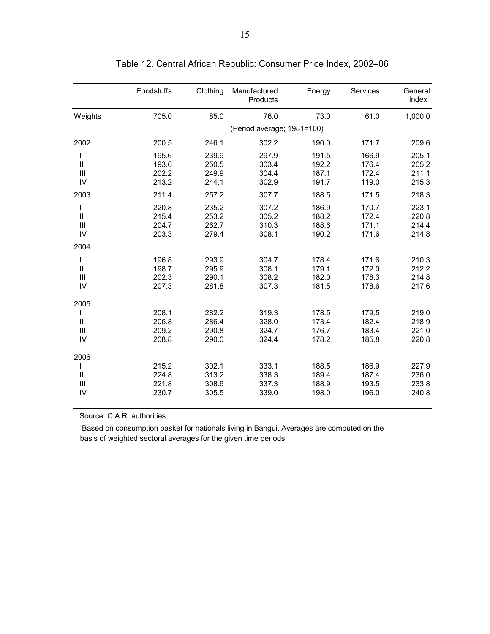|                                      | Foodstuffs                       | Clothing                         | Manufactured<br>Products         | Energy                           | Services                         | General<br>Index <sup>1</sup>    |
|--------------------------------------|----------------------------------|----------------------------------|----------------------------------|----------------------------------|----------------------------------|----------------------------------|
| Weights                              | 705.0                            | 85.0                             | 76.0                             | 73.0                             | 61.0                             | 1,000.0                          |
|                                      |                                  |                                  | (Period average; 1981=100)       |                                  |                                  |                                  |
| 2002                                 | 200.5                            | 246.1                            | 302.2                            | 190.0                            | 171.7                            | 209.6                            |
| I<br>$\mathbf{II}$<br>$\mathbf{III}$ | 195.6<br>193.0<br>202.2          | 239.9<br>250.5<br>249.9          | 297.9<br>303.4<br>304.4          | 191.5<br>192.2<br>187.1          | 166.9<br>176.4<br>172.4          | 205.1<br>205.2<br>211.1          |
| IV                                   | 213.2                            | 244.1                            | 302.9                            | 191.7                            | 119.0                            | 215.3                            |
| 2003                                 | 211.4                            | 257.2                            | 307.7                            | 188.5                            | 171.5                            | 218.3                            |
| I<br>$\mathbf{II}$<br>Ш<br>IV        | 220.8<br>215.4<br>204.7<br>203.3 | 235.2<br>253.2<br>262.7<br>279.4 | 307.2<br>305.2<br>310.3<br>308.1 | 186.9<br>188.2<br>188.6<br>190.2 | 170.7<br>172.4<br>171.1<br>171.6 | 223.1<br>220.8<br>214.4<br>214.8 |
| 2004                                 |                                  |                                  |                                  |                                  |                                  |                                  |
| I<br>$\mathbf{II}$<br>Ш<br>IV        | 196.8<br>198.7<br>202.3<br>207.3 | 293.9<br>295.9<br>290.1<br>281.8 | 304.7<br>308.1<br>308.2<br>307.3 | 178.4<br>179.1<br>182.0<br>181.5 | 171.6<br>172.0<br>178.3<br>178.6 | 210.3<br>212.2<br>214.8<br>217.6 |
| 2005                                 |                                  |                                  |                                  |                                  |                                  |                                  |
| Ш<br>Ш<br>IV                         | 208.1<br>206.8<br>209.2<br>208.8 | 282.2<br>286.4<br>290.8<br>290.0 | 319.3<br>328.0<br>324.7<br>324.4 | 178.5<br>173.4<br>176.7<br>178.2 | 179.5<br>182.4<br>183.4<br>185.8 | 219.0<br>218.9<br>221.0<br>220.8 |
| 2006                                 |                                  |                                  |                                  |                                  |                                  |                                  |
| I<br>$\mathbf{I}$<br>Ш<br>IV         | 215.2<br>224.8<br>221.8<br>230.7 | 302.1<br>313.2<br>308.6<br>305.5 | 333.1<br>338.3<br>337.3<br>339.0 | 188.5<br>189.4<br>188.9<br>198.0 | 186.9<br>187.4<br>193.5<br>196.0 | 227.9<br>236.0<br>233.8<br>240.8 |

Source: C.A.R. authorities.

'Based on consumption basket for nationals living in Bangui. Averages are computed on the basis of weighted sectoral averages for the given time periods.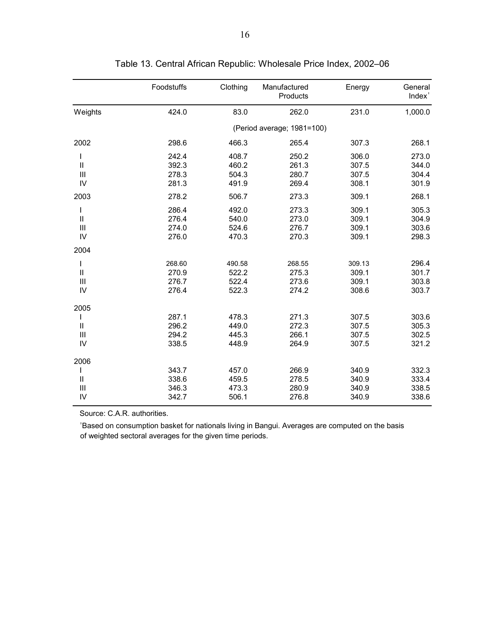|                        | Foodstuffs | Clothing | Manufactured<br>Products   | Energy | General<br>Index' |
|------------------------|------------|----------|----------------------------|--------|-------------------|
| Weights                | 424.0      | 83.0     | 262.0                      | 231.0  | 1,000.0           |
|                        |            |          | (Period average; 1981=100) |        |                   |
| 2002                   | 298.6      | 466.3    | 265.4                      | 307.3  | 268.1             |
| I                      | 242.4      | 408.7    | 250.2                      | 306.0  | 273.0             |
| $\mathsf{I}\mathsf{I}$ | 392.3      | 460.2    | 261.3                      | 307.5  | 344.0             |
| $\mathbf{III}$         | 278.3      | 504.3    | 280.7                      | 307.5  | 304.4             |
| IV                     | 281.3      | 491.9    | 269.4                      | 308.1  | 301.9             |
| 2003                   | 278.2      | 506.7    | 273.3                      | 309.1  | 268.1             |
| I                      | 286.4      | 492.0    | 273.3                      | 309.1  | 305.3             |
| $\mathsf{I}\mathsf{I}$ | 276.4      | 540.0    | 273.0                      | 309.1  | 304.9             |
| III                    | 274.0      | 524.6    | 276.7                      | 309.1  | 303.6             |
| IV                     | 276.0      | 470.3    | 270.3                      | 309.1  | 298.3             |
| 2004                   |            |          |                            |        |                   |
| I                      | 268.60     | 490.58   | 268.55                     | 309.13 | 296.4             |
| Ш                      | 270.9      | 522.2    | 275.3                      | 309.1  | 301.7             |
| III                    | 276.7      | 522.4    | 273.6                      | 309.1  | 303.8             |
| IV                     | 276.4      | 522.3    | 274.2                      | 308.6  | 303.7             |
| 2005                   |            |          |                            |        |                   |
| I                      | 287.1      | 478.3    | 271.3                      | 307.5  | 303.6             |
| $\mathbf{I}$           | 296.2      | 449.0    | 272.3                      | 307.5  | 305.3             |
| III                    | 294.2      | 445.3    | 266.1                      | 307.5  | 302.5             |
| IV                     | 338.5      | 448.9    | 264.9                      | 307.5  | 321.2             |
| 2006                   |            |          |                            |        |                   |
|                        | 343.7      | 457.0    | 266.9                      | 340.9  | 332.3             |
| $\mathbf{I}$           | 338.6      | 459.5    | 278.5                      | 340.9  | 333.4             |
| III                    | 346.3      | 473.3    | 280.9                      | 340.9  | 338.5             |
| IV                     | 342.7      | 506.1    | 276.8                      | 340.9  | 338.6             |
|                        |            |          |                            |        |                   |

| Table 13. Central African Republic: Wholesale Price Index, 2002–06 |  |  |
|--------------------------------------------------------------------|--|--|
|--------------------------------------------------------------------|--|--|

Source: C.A.R. authorities.

<sup>1</sup>Based on consumption basket for nationals living in Bangui. Averages are computed on the basis of weighted sectoral averages for the given time periods.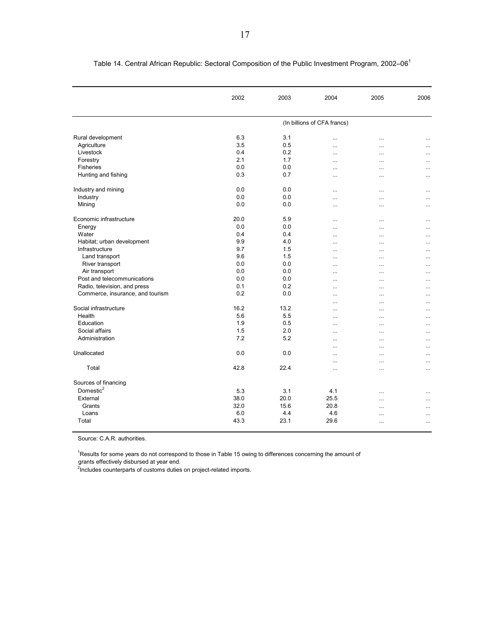|                                  | 2002 | 2003 | 2004                        | 2005      | 2006      |
|----------------------------------|------|------|-----------------------------|-----------|-----------|
|                                  |      |      |                             |           |           |
|                                  |      |      | (In billions of CFA francs) |           |           |
| Rural development                | 6.3  | 3.1  |                             | $\cdots$  |           |
| Agriculture                      | 3.5  | 0.5  |                             |           |           |
| Livestock                        | 0.4  | 0.2  | $\ddotsc$                   | $\cdots$  | $\cdots$  |
| Forestry                         | 2.1  | 1.7  | .                           | $\cdots$  |           |
| <b>Fisheries</b>                 | 0.0  | 0.0  | $\cdots$                    | $\ddotsc$ | $\cdots$  |
| Hunting and fishing              | 0.3  | 0.7  |                             | $\ddotsc$ | $\ddotsc$ |
| Industry and mining              | 0.0  | 0.0  |                             |           |           |
| Industry                         | 0.0  | 0.0  |                             | $\cdots$  | $\ddotsc$ |
|                                  | 0.0  | 0.0  |                             | $\ddotsc$ | $\cdots$  |
| Mining                           |      |      | .                           |           |           |
| Economic infrastructure          | 20.0 | 5.9  | $\cdots$                    | $\cdots$  | $\cdots$  |
| Energy                           | 0.0  | 0.0  | .                           | $\cdots$  |           |
| Water                            | 0.4  | 0.4  | $\ddotsc$                   | $\cdots$  | $\cdots$  |
| Habitat; urban development       | 9.9  | 4.0  |                             |           |           |
| Infrastructure                   | 9.7  | 1.5  | .                           | $\cdots$  | $\cdots$  |
| Land transport                   | 9.6  | 1.5  |                             | $\cdots$  |           |
| River transport                  | 0.0  | 0.0  | $\cdots$                    | $\cdots$  | $\cdots$  |
| Air transport                    | 0.0  | 0.0  |                             |           |           |
| Post and telecommunications      | 0.0  | 0.0  | $\cdots$                    | $\cdots$  | $\cdots$  |
| Radio, television, and press     | 0.1  | 0.2  | .                           |           | $\cdots$  |
| Commerce, insurance, and tourism | 0.2  | 0.0  |                             | $\cdots$  |           |
|                                  |      |      |                             | $\ddotsc$ | $\ddotsc$ |
| Social infrastructure            | 16.2 | 13.2 |                             | $\cdots$  | $\cdots$  |
| Health                           | 5.6  | 5.5  |                             | $\cdots$  | $\cdots$  |
|                                  |      |      | $\ddotsc$                   | $\cdots$  | $\cdots$  |
| Education                        | 1.9  | 0.5  |                             |           | $\cdots$  |
| Social affairs                   | 1.5  | 2.0  | $\ddotsc$                   | $\cdots$  | $\cdots$  |
| Administration                   | 7.2  | 5.2  |                             | $\cdots$  |           |
|                                  |      |      | $\cdots$                    | $\cdots$  | $\cdots$  |
| Unallocated                      | 0.0  | 0.0  |                             | $\cdots$  | $\cdots$  |
| Total                            | 42.8 | 22.4 | $\cdots$                    | $\cdots$  | $\cdots$  |
|                                  |      |      |                             | $\ldots$  | $\cdots$  |
| Sources of financing             |      |      |                             |           |           |
| Domestic <sup>2</sup>            | 5.3  | 3.1  | 4.1                         |           | $\cdots$  |
| External                         | 38.0 | 20.0 | 25.5                        | $\cdots$  | $\cdots$  |
| Grants                           | 32.0 | 15.6 | 20.8                        |           | $\cdots$  |
| Loans                            | 6.0  | 4.4  | 4.6                         | $\cdots$  | $\ddotsc$ |
| Total                            | 43.3 | 23.1 | 29.6                        | $\cdots$  |           |
|                                  |      |      |                             |           |           |

Table 14. Central African Republic: Sectoral Composition of the Public Investment Program, 2002–06<sup>1</sup>

Source: C.A.R. authorities.

<sup>1</sup>Results for some years do not correspond to those in Table 15 owing to differences concerning the amount of

grants effectively disbursed at year end.<br><sup>2</sup>Includes counterparts of customs duties on project-related imports.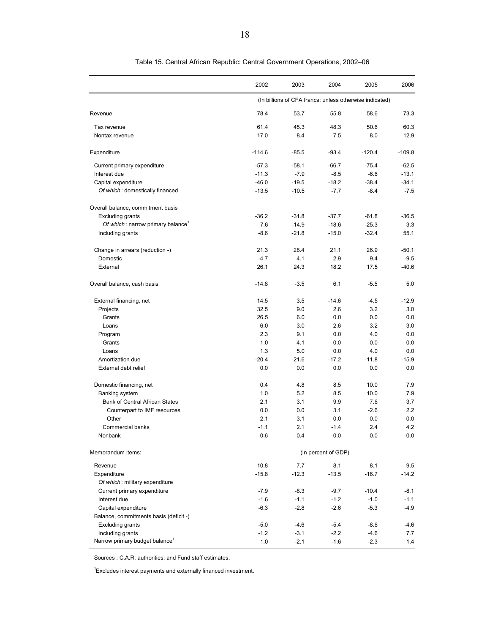|                                               | 2002     | 2003                                                    | 2004                | 2005     | 2006     |
|-----------------------------------------------|----------|---------------------------------------------------------|---------------------|----------|----------|
|                                               |          | (In billions of CFA francs; unless otherwise indicated) |                     |          |          |
| Revenue                                       | 78.4     | 53.7                                                    | 55.8                | 58.6     | 73.3     |
| Tax revenue                                   | 61.4     | 45.3                                                    | 48.3                | 50.6     | 60.3     |
| Nontax revenue                                | 17.0     | 8.4                                                     | 7.5                 | 8.0      | 12.9     |
| Expenditure                                   | $-114.6$ | $-85.5$                                                 | $-93.4$             | $-120.4$ | $-109.8$ |
| Current primary expenditure                   | $-57.3$  | $-58.1$                                                 | $-66.7$             | $-75.4$  | $-62.5$  |
| Interest due                                  | $-11.3$  | $-7.9$                                                  | $-8.5$              | $-6.6$   | $-13.1$  |
| Capital expenditure                           | $-46.0$  | $-19.5$                                                 | $-18.2$             | $-38.4$  | $-34.1$  |
| Of which: domestically financed               | $-13.5$  | $-10.5$                                                 | $-7.7$              | $-8.4$   | $-7.5$   |
| Overall balance, commitment basis             |          |                                                         |                     |          |          |
| <b>Excluding grants</b>                       | $-36.2$  | $-31.8$                                                 | $-37.7$             | $-61.8$  | $-36.5$  |
| Of which: narrow primary balance <sup>1</sup> | 7.6      | $-14.9$                                                 | $-18.6$             | $-25.3$  | 3.3      |
| Including grants                              | $-8.6$   | $-21.8$                                                 | $-15.0$             | $-32.4$  | 55.1     |
| Change in arrears (reduction -)               | 21.3     | 28.4                                                    | 21.1                | 26.9     | $-50.1$  |
| Domestic                                      | $-4.7$   | 4.1                                                     | 2.9                 | 9.4      | $-9.5$   |
| External                                      | 26.1     | 24.3                                                    | 18.2                | 17.5     | $-40.6$  |
| Overall balance, cash basis                   | $-14.8$  | $-3.5$                                                  | 6.1                 | $-5.5$   | 5.0      |
| External financing, net                       | 14.5     | 3.5                                                     | $-14.6$             | $-4.5$   | $-12.9$  |
| Projects                                      | 32.5     | 9.0                                                     | 2.6                 | 3.2      | 3.0      |
| Grants                                        | 26.5     | 6.0                                                     | 0.0                 | 0.0      | 0.0      |
| Loans                                         | 6.0      | 3.0                                                     | 2.6                 | 3.2      | 3.0      |
| Program                                       | 2.3      | 9.1                                                     | 0.0                 | 4.0      | 0.0      |
| Grants                                        | 1.0      | 4.1                                                     | 0.0                 | 0.0      | 0.0      |
| Loans                                         | 1.3      | 5.0                                                     | 0.0                 | 4.0      | 0.0      |
| Amortization due                              | $-20.4$  | $-21.6$                                                 | $-17.2$             | $-11.8$  | $-15.9$  |
| External debt relief                          | 0.0      | 0.0                                                     | 0.0                 | 0.0      | 0.0      |
| Domestic financing, net                       | 0.4      | 4.8                                                     | 8.5                 | 10.0     | 7.9      |
| Banking system                                | 1.0      | 5.2                                                     | 8.5                 | 10.0     | 7.9      |
| <b>Bank of Central African States</b>         | 2.1      | 3.1                                                     | 9.9                 | 7.6      | 3.7      |
| Counterpart to IMF resources                  | 0.0      | 0.0                                                     | 3.1                 | $-2.6$   | 2.2      |
| Other                                         | 2.1      | 3.1                                                     | 0.0                 | 0.0      | 0.0      |
| Commercial banks                              | $-1.1$   | 2.1                                                     | $-1.4$              | 2.4      | 4.2      |
| Nonbank                                       | $-0.6$   | $-0.4$                                                  | 0.0                 | $0.0\,$  | $0.0\,$  |
| Memorandum items:                             |          |                                                         | (In percent of GDP) |          |          |
| Revenue                                       | 10.8     | 7.7                                                     | 8.1                 | 8.1      | 9.5      |
| Expenditure                                   | $-15.8$  | $-12.3$                                                 | $-13.5$             | $-16.7$  | $-14.2$  |
| Of which: military expenditure                |          |                                                         |                     |          |          |
| Current primary expenditure                   | $-7.9$   | $-8.3$                                                  | $-9.7$              | $-10.4$  | $-8.1$   |
| Interest due                                  | $-1.6$   | $-1.1$                                                  | $-1.2$              | $-1.0$   | $-1.1$   |
| Capital expenditure                           | $-6.3$   | $-2.8$                                                  | $-2.6$              | $-5.3$   | $-4.9$   |
| Balance, commitments basis (deficit -)        |          |                                                         |                     |          |          |
| <b>Excluding grants</b>                       | $-5.0$   | $-4.6$                                                  | $-5.4$              | $-8.6$   | -4.6     |
| Including grants                              | $-1.2$   | $-3.1$                                                  | $-2.2$              | $-4.6$   | 7.7      |
| Narrow primary budget balance <sup>1</sup>    | 1.0      | $-2.1$                                                  | $-1.6$              | $-2.3$   | 1.4      |

Table 15. Central African Republic: Central Government Operations, 2002–06

Sources : C.A.R. authorities; and Fund staff estimates.

<sup>1</sup> Excludes interest payments and externally financed investment.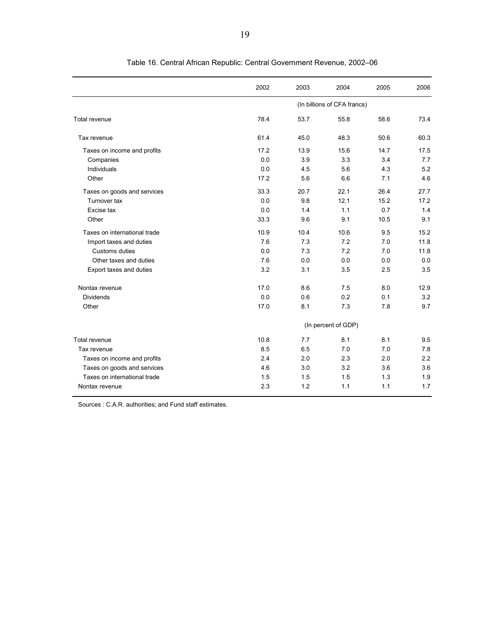|                              | 2002 | 2003 | 2004                        | 2005 | 2006 |
|------------------------------|------|------|-----------------------------|------|------|
|                              |      |      | (In billions of CFA francs) |      |      |
| Total revenue                | 78.4 | 53.7 | 55.8                        | 58.6 | 73.4 |
| Tax revenue                  | 61.4 | 45.0 | 48.3                        | 50.6 | 60.3 |
| Taxes on income and profits  | 17.2 | 13.9 | 15.6                        | 14.7 | 17.5 |
| Companies                    | 0.0  | 3.9  | 3.3                         | 3.4  | 7.7  |
| Individuals                  | 0.0  | 4.5  | 5.6                         | 4.3  | 5.2  |
| Other                        | 17.2 | 5.6  | 6.6                         | 7.1  | 4.6  |
| Taxes on goods and services  | 33.3 | 20.7 | 22.1                        | 26.4 | 27.7 |
| Turnover tax                 | 0.0  | 9.8  | 12.1                        | 15.2 | 17.2 |
| Excise tax                   | 0.0  | 1.4  | 1.1                         | 0.7  | 1.4  |
| Other                        | 33.3 | 9.6  | 9.1                         | 10.5 | 9.1  |
| Taxes on international trade | 10.9 | 10.4 | 10.6                        | 9.5  | 15.2 |
| Import taxes and duties      | 7.6  | 7.3  | 7.2                         | 7.0  | 11.8 |
| Customs duties               | 0.0  | 7.3  | 7.2                         | 7.0  | 11.8 |
| Other taxes and duties       | 7.6  | 0.0  | 0.0                         | 0.0  | 0.0  |
| Export taxes and duties      | 3.2  | 3.1  | 3.5                         | 2.5  | 3.5  |
| Nontax revenue               | 17.0 | 8.6  | 7.5                         | 8.0  | 12.9 |
| <b>Dividends</b>             | 0.0  | 0.6  | 0.2                         | 0.1  | 3.2  |
| Other                        | 17.0 | 8.1  | 7.3                         | 7.8  | 9.7  |
|                              |      |      | (In percent of GDP)         |      |      |
| Total revenue                | 10.8 | 7.7  | 8.1                         | 8.1  | 9.5  |
| Tax revenue                  | 8.5  | 6.5  | 7.0                         | 7.0  | 7.8  |
| Taxes on income and profits  | 2.4  | 2.0  | 2.3                         | 2.0  | 2.2  |
| Taxes on goods and services  | 4.6  | 3.0  | 3.2                         | 3.6  | 3.6  |
| Taxes on international trade | 1.5  | 1.5  | 1.5                         | 1.3  | 1.9  |
| Nontax revenue               | 2.3  | 1.2  | 1.1                         | 1.1  | 1.7  |

Table 16. Central African Republic: Central Government Revenue, 2002–06

Sources : C.A.R. authorities; and Fund staff estimates.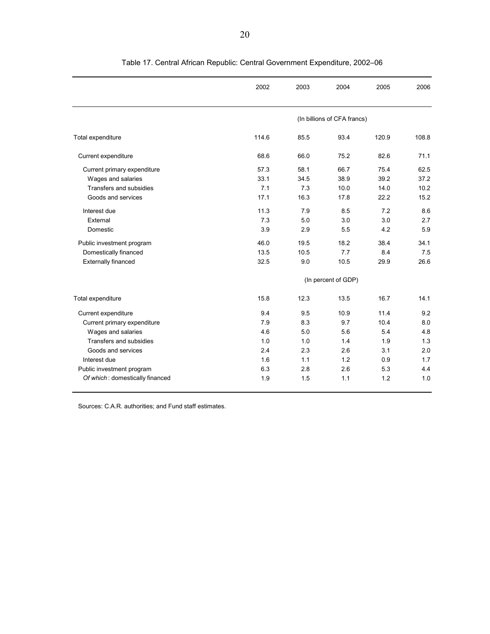|                                 | 2002  | 2003 | 2004                        | 2005  | 2006  |
|---------------------------------|-------|------|-----------------------------|-------|-------|
|                                 |       |      | (In billions of CFA francs) |       |       |
| Total expenditure               | 114.6 | 85.5 | 93.4                        | 120.9 | 108.8 |
| Current expenditure             | 68.6  | 66.0 | 75.2                        | 82.6  | 71.1  |
| Current primary expenditure     | 57.3  | 58.1 | 66.7                        | 75.4  | 62.5  |
| Wages and salaries              | 33.1  | 34.5 | 38.9                        | 39.2  | 37.2  |
| Transfers and subsidies         | 7.1   | 7.3  | 10.0                        | 14.0  | 10.2  |
| Goods and services              | 17.1  | 16.3 | 17.8                        | 22.2  | 15.2  |
| Interest due                    | 11.3  | 7.9  | 8.5                         | 7.2   | 8.6   |
| External                        | 7.3   | 5.0  | 3.0                         | 3.0   | 2.7   |
| Domestic                        | 3.9   | 2.9  | 5.5                         | 4.2   | 5.9   |
| Public investment program       | 46.0  | 19.5 | 18.2                        | 38.4  | 34.1  |
| Domestically financed           | 13.5  | 10.5 | 7.7                         | 8.4   | 7.5   |
| <b>Externally financed</b>      | 32.5  | 9.0  | 10.5                        | 29.9  | 26.6  |
|                                 |       |      | (In percent of GDP)         |       |       |
| Total expenditure               | 15.8  | 12.3 | 13.5                        | 16.7  | 14.1  |
| Current expenditure             | 9.4   | 9.5  | 10.9                        | 11.4  | 9.2   |
| Current primary expenditure     | 7.9   | 8.3  | 9.7                         | 10.4  | 8.0   |
| Wages and salaries              | 4.6   | 5.0  | 5.6                         | 5.4   | 4.8   |
| Transfers and subsidies         | 1.0   | 1.0  | 1.4                         | 1.9   | 1.3   |
| Goods and services              | 2.4   | 2.3  | 2.6                         | 3.1   | 2.0   |
| Interest due                    | 1.6   | 1.1  | 1.2                         | 0.9   | 1.7   |
| Public investment program       | 6.3   | 2.8  | 2.6                         | 5.3   | 4.4   |
| Of which: domestically financed | 1.9   | 1.5  | 1.1                         | 1.2   | 1.0   |

## Table 17. Central African Republic: Central Government Expenditure, 2002–06

Sources: C.A.R. authorities; and Fund staff estimates.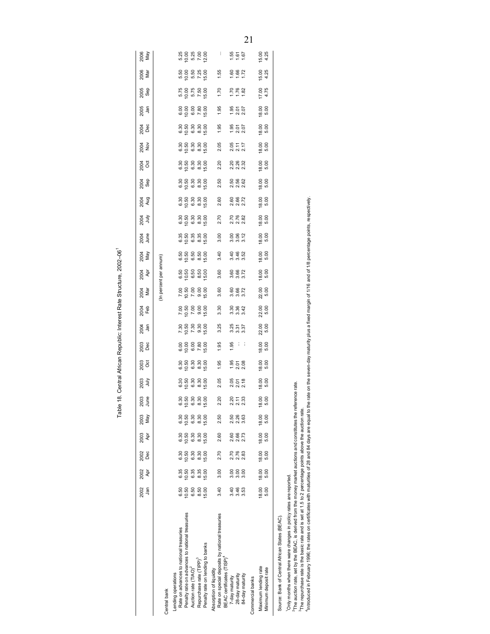| ה<br>המה ה<br>j |
|-----------------|
|                 |
|                 |
|                 |
|                 |
|                 |
| $\overline{1}$  |
| t<br>Q          |
|                 |
| ------          |
|                 |
|                 |
|                 |
|                 |
| ı               |
|                 |
|                 |
|                 |
|                 |
| $\overline{a}$  |
| Ó               |
|                 |
|                 |
|                 |
|                 |

'Only months when there ware changes in policy rates are reported.<br><sup>2</sup>The auction rate, set by the BEAC, is derived from the money market auctions and constitutes the reference rate.

3The repurchase rate is the basic rate and is set at 1.5 to 2 percentage points above the auction rate.

`Only months when there ware changes in policy rates are reported.<br><sup>2</sup>The auction rate, set by the BEAC, is derived from the money market auctions and constitutes the reference rate.<br><sup>3</sup>The repurchase rate is the basic rat 4Introduced in February 1996; the rates on certificates with maturities of 28 and 84 days are equal to the rate on the seven-day maturity plus a fixed margin of 1/16 and of 1/8 percentage points, respectively.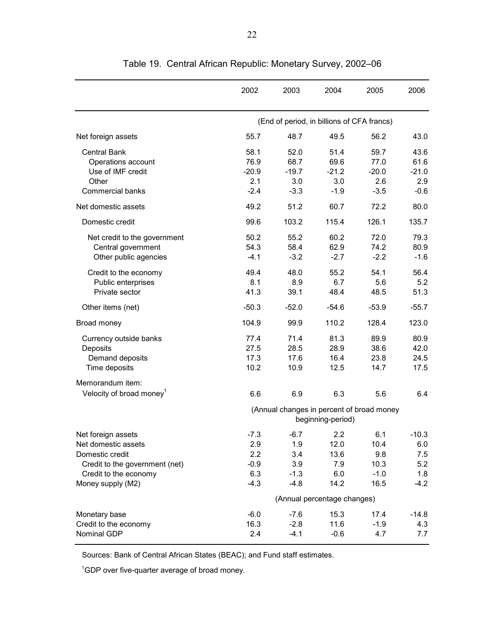|                                      | 2002    | 2003                                       | 2004                        | 2005    | 2006    |
|--------------------------------------|---------|--------------------------------------------|-----------------------------|---------|---------|
|                                      |         | (End of period, in billions of CFA francs) |                             |         |         |
| Net foreign assets                   | 55.7    | 48.7                                       | 49.5                        | 56.2    | 43.0    |
| <b>Central Bank</b>                  | 58.1    | 52.0                                       | 51.4                        | 59.7    | 43.6    |
| Operations account                   | 76.9    | 68.7                                       | 69.6                        | 77.0    | 61.6    |
| Use of IMF credit                    | $-20.9$ | $-19.7$                                    | $-21.2$                     | $-20.0$ | $-21.0$ |
| Other                                | 2.1     | 3.0                                        | 3.0                         | 2.6     | 2.9     |
| <b>Commercial banks</b>              | $-2.4$  | $-3.3$                                     | $-1.9$                      | $-3.5$  | $-0.6$  |
| Net domestic assets                  | 49.2    | 51.2                                       | 60.7                        | 72.2    | 80.0    |
| Domestic credit                      | 99.6    | 103.2                                      | 115.4                       | 126.1   | 135.7   |
| Net credit to the government         | 50.2    | 55.2                                       | 60.2                        | 72.0    | 79.3    |
| Central government                   | 54.3    | 58.4                                       | 62.9                        | 74.2    | 80.9    |
| Other public agencies                | $-4.1$  | $-3.2$                                     | $-2.7$                      | $-2.2$  | $-1.6$  |
| Credit to the economy                | 49.4    | 48.0                                       | 55.2                        | 54.1    | 56.4    |
| Public enterprises                   | 8.1     | 8.9                                        | 6.7                         | 5.6     | 5.2     |
| Private sector                       | 41.3    | 39.1                                       | 48.4                        | 48.5    | 51.3    |
| Other items (net)                    | $-50.3$ | $-52.0$                                    | $-54.6$                     | $-53.9$ | $-55.7$ |
| Broad money                          | 104.9   | 99.9                                       | 110.2                       | 128.4   | 123.0   |
| Currency outside banks               | 77.4    | 71.4                                       | 81.3                        | 89.9    | 80.9    |
| Deposits                             | 27.5    | 28.5                                       | 28.9                        | 38.6    | 42.0    |
| Demand deposits                      | 17.3    | 17.6                                       | 16.4                        | 23.8    | 24.5    |
| Time deposits                        | 10.2    | 10.9                                       | 12.5                        | 14.7    | 17.5    |
| Memorandum item:                     |         |                                            |                             |         |         |
| Velocity of broad money <sup>1</sup> | 6.6     | 6.9                                        | 6.3                         | 5.6     | 6.4     |
|                                      |         | (Annual changes in percent of broad money  |                             |         |         |
|                                      |         |                                            | beginning-period)           |         |         |
| Net foreign assets                   | $-7.3$  | $-6.7$                                     | 2.2                         | 6.1     | $-10.3$ |
| Net domestic assets                  | 2.9     | 1.9                                        | 12.0                        | 10.4    | 6.0     |
| Domestic credit                      | 2.2     | 3.4                                        | 13.6                        | 9.8     | 7.5     |
| Credit to the government (net)       | $-0.9$  | 3.9                                        | 7.9                         | 10.3    | 5.2     |
| Credit to the economy                | 6.3     | $-1.3$                                     | 6.0                         | $-1.0$  | 1.8     |
| Money supply (M2)                    | $-4.3$  | $-4.8$                                     | 14.2                        | 16.5    | $-4.2$  |
|                                      |         |                                            | (Annual percentage changes) |         |         |
| Monetary base                        | $-6.0$  | $-7.6$                                     | 15.3                        | 17.4    | $-14.8$ |
| Credit to the economy                | 16.3    | $-2.8$                                     | 11.6                        | $-1.9$  | 4.3     |
| Nominal GDP                          | 2.4     | $-4.1$                                     | $-0.6$                      | 4.7     | 7.7     |

Table 19. Central African Republic: Monetary Survey, 2002–06

Sources: Bank of Central African States (BEAC); and Fund staff estimates.

<sup>1</sup>GDP over five-quarter average of broad money.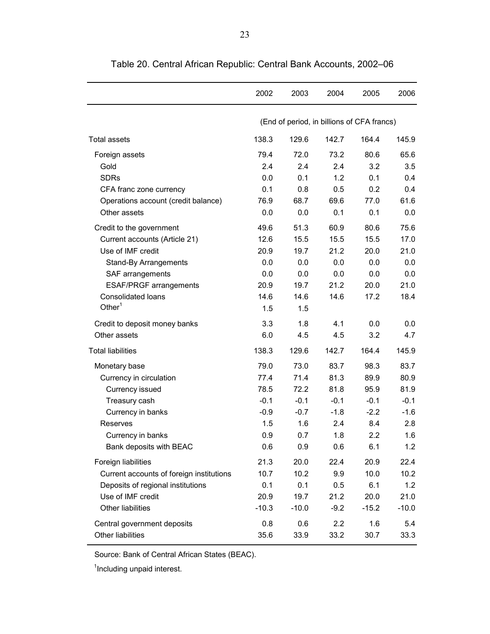|                                          | 2002    | 2003                                       | 2004   | 2005    | 2006    |
|------------------------------------------|---------|--------------------------------------------|--------|---------|---------|
|                                          |         | (End of period, in billions of CFA francs) |        |         |         |
| <b>Total assets</b>                      | 138.3   | 129.6                                      | 142.7  | 164.4   | 145.9   |
| Foreign assets                           | 79.4    | 72.0                                       | 73.2   | 80.6    | 65.6    |
| Gold                                     | 2.4     | 2.4                                        | 2.4    | 3.2     | 3.5     |
| <b>SDRs</b>                              | 0.0     | 0.1                                        | 1.2    | 0.1     | 0.4     |
| CFA franc zone currency                  | 0.1     | 0.8                                        | 0.5    | 0.2     | 0.4     |
| Operations account (credit balance)      | 76.9    | 68.7                                       | 69.6   | 77.0    | 61.6    |
| Other assets                             | 0.0     | 0.0                                        | 0.1    | 0.1     | 0.0     |
| Credit to the government                 | 49.6    | 51.3                                       | 60.9   | 80.6    | 75.6    |
| Current accounts (Article 21)            | 12.6    | 15.5                                       | 15.5   | 15.5    | 17.0    |
| Use of IMF credit                        | 20.9    | 19.7                                       | 21.2   | 20.0    | 21.0    |
| <b>Stand-By Arrangements</b>             | 0.0     | 0.0                                        | 0.0    | 0.0     | 0.0     |
| SAF arrangements                         | 0.0     | 0.0                                        | 0.0    | 0.0     | 0.0     |
| <b>ESAF/PRGF</b> arrangements            | 20.9    | 19.7                                       | 21.2   | 20.0    | 21.0    |
| <b>Consolidated loans</b>                | 14.6    | 14.6                                       | 14.6   | 17.2    | 18.4    |
| Other $1$                                | 1.5     | 1.5                                        |        |         |         |
| Credit to deposit money banks            | 3.3     | 1.8                                        | 4.1    | 0.0     | 0.0     |
| Other assets                             | 6.0     | 4.5                                        | 4.5    | 3.2     | 4.7     |
| <b>Total liabilities</b>                 | 138.3   | 129.6                                      | 142.7  | 164.4   | 145.9   |
| Monetary base                            | 79.0    | 73.0                                       | 83.7   | 98.3    | 83.7    |
| Currency in circulation                  | 77.4    | 71.4                                       | 81.3   | 89.9    | 80.9    |
| Currency issued                          | 78.5    | 72.2                                       | 81.8   | 95.9    | 81.9    |
| Treasury cash                            | $-0.1$  | $-0.1$                                     | $-0.1$ | $-0.1$  | $-0.1$  |
| Currency in banks                        | $-0.9$  | $-0.7$                                     | $-1.8$ | $-2.2$  | $-1.6$  |
| Reserves                                 | 1.5     | 1.6                                        | 2.4    | 8.4     | 2.8     |
| Currency in banks                        | 0.9     | 0.7                                        | 1.8    | 2.2     | 1.6     |
| Bank deposits with BEAC                  | 0.6     | 0.9                                        | 0.6    | 6.1     | 1.2     |
| Foreign liabilities                      | 21.3    | 20.0                                       | 22.4   | 20.9    | 22.4    |
| Current accounts of foreign institutions | 10.7    | 10.2                                       | 9.9    | 10.0    | 10.2    |
| Deposits of regional institutions        | 0.1     | 0.1                                        | 0.5    | 6.1     | 1.2     |
| Use of IMF credit                        | 20.9    | 19.7                                       | 21.2   | 20.0    | 21.0    |
| Other liabilities                        | $-10.3$ | $-10.0$                                    | $-9.2$ | $-15.2$ | $-10.0$ |
| Central government deposits              | 0.8     | 0.6                                        | 2.2    | 1.6     | 5.4     |
| Other liabilities                        | 35.6    | 33.9                                       | 33.2   | 30.7    | 33.3    |

Table 20. Central African Republic: Central Bank Accounts, 2002–06

Source: Bank of Central African States (BEAC).

<sup>1</sup>Including unpaid interest.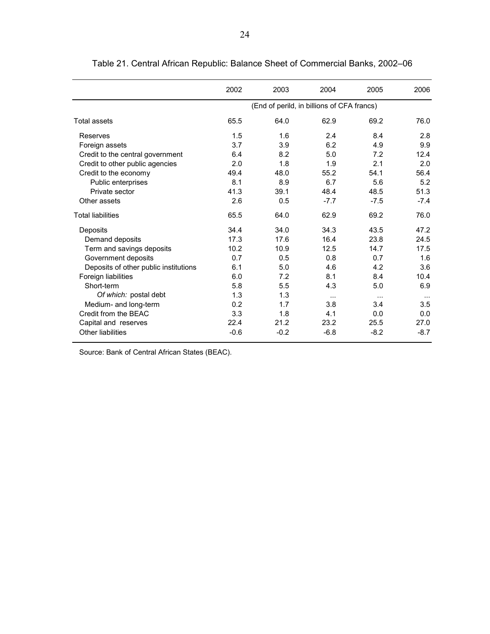|                                       | 2002   | 2003                                       | 2004          | 2005      | 2006     |
|---------------------------------------|--------|--------------------------------------------|---------------|-----------|----------|
|                                       |        | (End of perild, in billions of CFA francs) |               |           |          |
| <b>Total assets</b>                   | 65.5   | 64.0                                       | 62.9          | 69.2      | 76.0     |
| Reserves                              | 1.5    | 1.6                                        | 2.4           | 8.4       | 2.8      |
| Foreign assets                        | 3.7    | 3.9                                        | 6.2           | 4.9       | 9.9      |
| Credit to the central government      | 6.4    | 8.2                                        | 5.0           | 7.2       | 12.4     |
| Credit to other public agencies       | 2.0    | 1.8                                        | 1.9           | 2.1       | 2.0      |
| Credit to the economy                 | 49.4   | 48.0                                       | 55.2          | 54.1      | 56.4     |
| Public enterprises                    | 8.1    | 8.9                                        | 6.7           | 5.6       | 5.2      |
| Private sector                        | 41.3   | 39.1                                       | 48.4          | 48.5      | 51.3     |
| Other assets                          | 2.6    | 0.5                                        | $-7.7$        | $-7.5$    | $-7.4$   |
| <b>Total liabilities</b>              | 65.5   | 64.0                                       | 62.9          | 69.2      | 76.0     |
| Deposits                              | 34.4   | 34.0                                       | 34.3          | 43.5      | 47.2     |
| Demand deposits                       | 17.3   | 17.6                                       | 16.4          | 23.8      | 24.5     |
| Term and savings deposits             | 10.2   | 10.9                                       | 12.5          | 14.7      | 17.5     |
| Government deposits                   | 0.7    | 0.5                                        | 0.8           | 0.7       | 1.6      |
| Deposits of other public institutions | 6.1    | 5.0                                        | 4.6           | 4.2       | 3.6      |
| Foreign liabilities                   | 6.0    | 7.2                                        | 8.1           | 8.4       | 10.4     |
| Short-term                            | 5.8    | 5.5                                        | 4.3           | 5.0       | 6.9      |
| Of which: postal debt                 | 1.3    | 1.3                                        | $\sim$ $\sim$ | $\ddotsc$ | $\cdots$ |
| Medium- and long-term                 | 0.2    | 1.7                                        | 3.8           | 3.4       | 3.5      |
| Credit from the BEAC                  | 3.3    | 1.8                                        | 4.1           | 0.0       | 0.0      |
| Capital and reserves                  | 22.4   | 21.2                                       | 23.2          | 25.5      | 27.0     |
| <b>Other liabilities</b>              | $-0.6$ | $-0.2$                                     | $-6.8$        | $-8.2$    | $-8.7$   |

Table 21. Central African Republic: Balance Sheet of Commercial Banks, 2002–06

Source: Bank of Central African States (BEAC).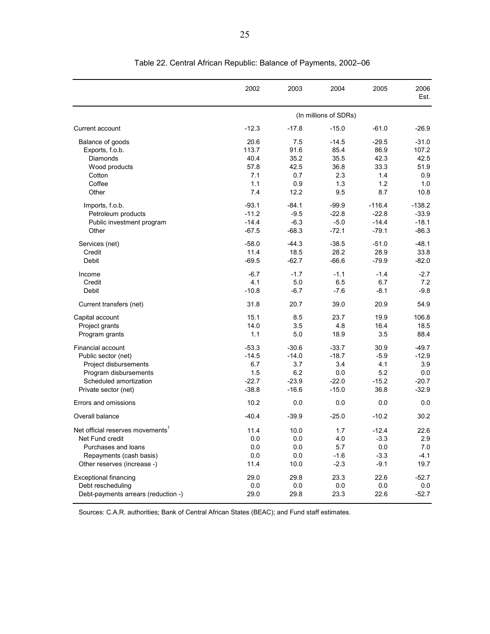|                                              | 2002    | 2003    | 2004                  | 2005     | 2006<br>Est. |
|----------------------------------------------|---------|---------|-----------------------|----------|--------------|
|                                              |         |         | (In millions of SDRs) |          |              |
| Current account                              | $-12.3$ | $-17.8$ | $-15.0$               | $-61.0$  | $-26.9$      |
| Balance of goods                             | 20.6    | 7.5     | $-14.5$               | $-29.5$  | $-31.0$      |
| Exports, f.o.b.                              | 113.7   | 91.6    | 85.4                  | 86.9     | 107.2        |
| Diamonds                                     | 40.4    | 35.2    | 35.5                  | 42.3     | 42.5         |
| Wood products                                | 57.8    | 42.5    | 36.8                  | 33.3     | 51.9         |
| Cotton                                       | 7.1     | 0.7     | 2.3                   | 1.4      | 0.9          |
| Coffee                                       | 1.1     | 0.9     | 1.3                   | 1.2      | 1.0          |
| Other                                        | 7.4     | 12.2    | 9.5                   | 8.7      | 10.8         |
| Imports, f.o.b.                              | $-93.1$ | $-84.1$ | $-99.9$               | $-116.4$ | $-138.2$     |
| Petroleum products                           | $-11.2$ | $-9.5$  | $-22.8$               | $-22.8$  | $-33.9$      |
| Public investment program                    | $-14.4$ | $-6.3$  | $-5.0$                | $-14.4$  | $-18.1$      |
| Other                                        | $-67.5$ | $-68.3$ | $-72.1$               | $-79.1$  | $-86.3$      |
| Services (net)                               | $-58.0$ | $-44.3$ | $-38.5$               | $-51.0$  | $-48.1$      |
| Credit                                       | 11.4    | 18.5    | 28.2                  | 28.9     | 33.8         |
| Debit                                        | $-69.5$ | $-62.7$ | $-66.6$               | $-79.9$  | $-82.0$      |
| Income                                       | $-6.7$  | $-1.7$  | $-1.1$                | $-1.4$   | $-2.7$       |
| Credit                                       | 4.1     | 5.0     | 6.5                   | 6.7      | 7.2          |
| Debit                                        | $-10.8$ | $-6.7$  | $-7.6$                | $-8.1$   | $-9.8$       |
| Current transfers (net)                      | 31.8    | 20.7    | 39.0                  | 20.9     | 54.9         |
| Capital account                              | 15.1    | 8.5     | 23.7                  | 19.9     | 106.8        |
| Project grants                               | 14.0    | 3.5     | 4.8                   | 16.4     | 18.5         |
| Program grants                               | 1.1     | 5.0     | 18.9                  | 3.5      | 88.4         |
| Financial account                            | $-53.3$ | $-30.6$ | $-33.7$               | 30.9     | $-49.7$      |
| Public sector (net)                          | $-14.5$ | $-14.0$ | $-18.7$               | $-5.9$   | $-12.9$      |
| Project disbursements                        | 6.7     | 3.7     | 3.4                   | 4.1      | 3.9          |
| Program disbursements                        | 1.5     | 6.2     | 0.0                   | 5.2      | 0.0          |
| Scheduled amortization                       | $-22.7$ | $-23.9$ | $-22.0$               | $-15.2$  | $-20.7$      |
| Private sector (net)                         | $-38.8$ | $-16.6$ | $-15.0$               | 36.8     | $-32.9$      |
| Errors and omissions                         | 10.2    | 0.0     | 0.0                   | 0.0      | 0.0          |
| Overall balance                              | $-40.4$ | $-39.9$ | $-25.0$               | $-10.2$  | 30.2         |
| Net official reserves movements <sup>1</sup> | 11.4    | 10.0    | 1.7                   | $-12.4$  | 22.6         |
| Net Fund credit                              | 0.0     | 0.0     | 4.0                   | $-3.3$   | 2.9          |
| Purchases and loans                          | 0.0     | 0.0     | 5.7                   | 0.0      | 7.0          |
| Repayments (cash basis)                      | 0.0     | 0.0     | $-1.6$                | $-3.3$   | $-4.1$       |
| Other reserves (increase -)                  | 11.4    | 10.0    | $-2.3$                | $-9.1$   | 19.7         |
| <b>Exceptional financing</b>                 | 29.0    | 29.8    | 23.3                  | 22.6     | $-52.7$      |
| Debt rescheduling                            | 0.0     | 0.0     | 0.0                   | 0.0      | 0.0          |
| Debt-payments arrears (reduction -)          | 29.0    | 29.8    | 23.3                  | 22.6     | $-52.7$      |

Table 22. Central African Republic: Balance of Payments, 2002–06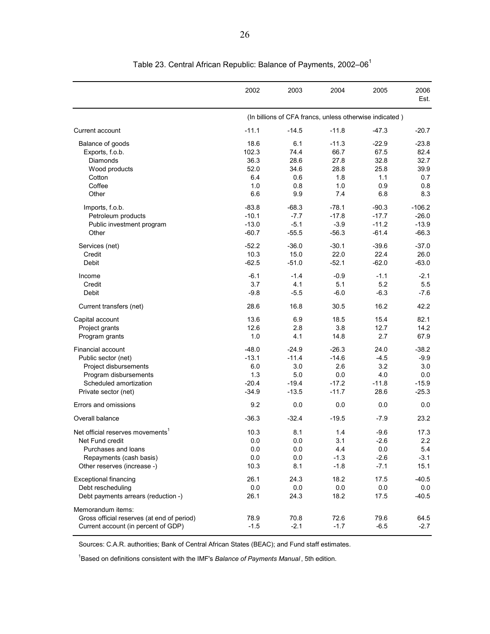|                                              | 2002    | 2003    | 2004                                                    | 2005    | 2006<br>Est. |
|----------------------------------------------|---------|---------|---------------------------------------------------------|---------|--------------|
|                                              |         |         | (In billions of CFA francs, unless otherwise indicated) |         |              |
| Current account                              | $-11.1$ | $-14.5$ | $-11.8$                                                 | $-47.3$ | $-20.7$      |
| Balance of goods                             | 18.6    | 6.1     | $-11.3$                                                 | $-22.9$ | $-23.8$      |
| Exports, f.o.b.                              | 102.3   | 74.4    | 66.7                                                    | 67.5    | 82.4         |
| Diamonds                                     | 36.3    | 28.6    | 27.8                                                    | 32.8    | 32.7         |
| Wood products                                | 52.0    | 34.6    | 28.8                                                    | 25.8    | 39.9         |
| Cotton                                       | 6.4     | 0.6     | 1.8                                                     | 1.1     | 0.7          |
| Coffee                                       | 1.0     | 0.8     | 1.0                                                     | 0.9     | 0.8          |
| Other                                        | 6.6     | 9.9     | 7.4                                                     | 6.8     | 8.3          |
| Imports, f.o.b.                              | $-83.8$ | $-68.3$ | $-78.1$                                                 | $-90.3$ | $-106.2$     |
| Petroleum products                           | $-10.1$ | $-7.7$  | $-17.8$                                                 | $-17.7$ | $-26.0$      |
| Public investment program                    | $-13.0$ | $-5.1$  | $-3.9$                                                  | $-11.2$ | $-13.9$      |
| Other                                        | $-60.7$ | $-55.5$ | $-56.3$                                                 | $-61.4$ | $-66.3$      |
| Services (net)                               | $-52.2$ | $-36.0$ | $-30.1$                                                 | $-39.6$ | $-37.0$      |
| Credit                                       | 10.3    | 15.0    | 22.0                                                    | 22.4    | 26.0         |
| Debit                                        | $-62.5$ | $-51.0$ | $-52.1$                                                 | $-62.0$ | $-63.0$      |
| Income                                       | $-6.1$  | $-1.4$  | $-0.9$                                                  | $-1.1$  | $-2.1$       |
| Credit                                       | 3.7     | 4.1     | 5.1                                                     | 5.2     | 5.5          |
| Debit                                        | $-9.8$  | $-5.5$  | $-6.0$                                                  | $-6.3$  | $-7.6$       |
| Current transfers (net)                      | 28.6    | 16.8    | 30.5                                                    | 16.2    | 42.2         |
| Capital account                              | 13.6    | 6.9     | 18.5                                                    | 15.4    | 82.1         |
| Project grants                               | 12.6    | 2.8     | 3.8                                                     | 12.7    | 14.2         |
| Program grants                               | 1.0     | 4.1     | 14.8                                                    | 2.7     | 67.9         |
| Financial account                            | $-48.0$ | $-24.9$ | $-26.3$                                                 | 24.0    | $-38.2$      |
| Public sector (net)                          | $-13.1$ | $-11.4$ | $-14.6$                                                 | $-4.5$  | $-9.9$       |
| Project disbursements                        | 6.0     | 3.0     | 2.6                                                     | 3.2     | 3.0          |
| Program disbursements                        | 1.3     | 5.0     | 0.0                                                     | 4.0     | 0.0          |
| Scheduled amortization                       | $-20.4$ | $-19.4$ | $-17.2$                                                 | $-11.8$ | $-15.9$      |
| Private sector (net)                         | $-34.9$ | $-13.5$ | $-11.7$                                                 | 28.6    | $-25.3$      |
| Errors and omissions                         | 9.2     | 0.0     | 0.0                                                     | 0.0     | 0.0          |
| Overall balance                              | $-36.3$ | $-32.4$ | $-19.5$                                                 | $-7.9$  | 23.2         |
| Net official reserves movements <sup>1</sup> | 10.3    | 8.1     | 1.4                                                     | $-9.6$  | 17.3         |
| Net Fund credit                              | 0.0     | 0.0     | 3.1                                                     | $-2.6$  | 2.2          |
| Purchases and loans                          | 0.0     | 0.0     | 4.4                                                     | 0.0     | 5.4          |
| Repayments (cash basis)                      | 0.0     | 0.0     | $-1.3$                                                  | $-2.6$  | $-3.1$       |
| Other reserves (increase -)                  | 10.3    | 8.1     | $-1.8$                                                  | $-7.1$  | 15.1         |
| Exceptional financing                        | 26.1    | 24.3    | 18.2                                                    | 17.5    | $-40.5$      |
| Debt rescheduling                            | 0.0     | 0.0     | $0.0\,$                                                 | 0.0     | 0.0          |
| Debt payments arrears (reduction -)          | 26.1    | 24.3    | 18.2                                                    | 17.5    | $-40.5$      |
| Memorandum items:                            |         |         |                                                         |         |              |
| Gross official reserves (at end of period)   | 78.9    | 70.8    | 72.6                                                    | 79.6    | 64.5         |
| Current account (in percent of GDP)          | $-1.5$  | $-2.1$  | $-1.7$                                                  | $-6.5$  | $-2.7$       |
|                                              |         |         |                                                         |         |              |

Table 23. Central African Republic: Balance of Payments, 2002–06<sup>1</sup>

1 Based on definitions consistent with the IMF's *Balance of Payments Manual* , 5th edition.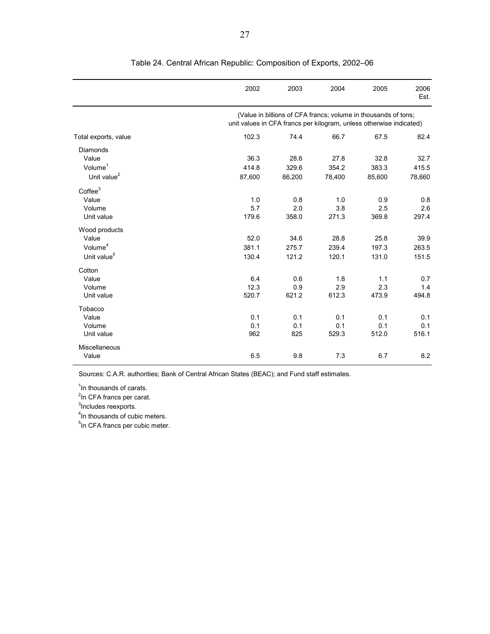|                                                         | 2002                   | 2003                   | 2004                                                                                                                                  | 2005                   | 2006<br>Est.           |
|---------------------------------------------------------|------------------------|------------------------|---------------------------------------------------------------------------------------------------------------------------------------|------------------------|------------------------|
|                                                         |                        |                        | (Value in billions of CFA francs; volume in thousands of tons;<br>unit values in CFA francs per kilogram, unless otherwise indicated) |                        |                        |
| Total exports, value                                    | 102.3                  | 74.4                   | 66.7                                                                                                                                  | 67.5                   | 82.4                   |
| <b>Diamonds</b><br>Value<br>Volume <sup>1</sup>         | 36.3<br>414.8          | 28.6<br>329.6          | 27.8<br>354.2                                                                                                                         | 32.8<br>383.3          | 32.7<br>415.5          |
| Unit value <sup>2</sup>                                 | 87,600                 | 86,200                 | 78,400                                                                                                                                | 85,600                 | 78,660                 |
| Coffee <sup>3</sup><br>Value<br>Volume<br>Unit value    | 1.0<br>5.7<br>179.6    | 0.8<br>2.0<br>358.0    | 1.0<br>3.8<br>271.3                                                                                                                   | 0.9<br>2.5<br>369.8    | 0.8<br>2.6<br>297.4    |
| Wood products                                           |                        |                        |                                                                                                                                       |                        |                        |
| Value<br>Volume <sup>4</sup><br>Unit value <sup>5</sup> | 52.0<br>381.1<br>130.4 | 34.6<br>275.7<br>121.2 | 28.8<br>239.4<br>120.1                                                                                                                | 25.8<br>197.3<br>131.0 | 39.9<br>263.5<br>151.5 |
|                                                         |                        |                        |                                                                                                                                       |                        |                        |
| Cotton<br>Value<br>Volume<br>Unit value                 | 6.4<br>12.3<br>520.7   | 0.6<br>0.9<br>621.2    | 1.8<br>2.9<br>612.3                                                                                                                   | 1.1<br>2.3<br>473.9    | 0.7<br>1.4<br>494.8    |
| Tobacco<br>Value<br>Volume<br>Unit value                | 0.1<br>0.1<br>962      | 0.1<br>0.1<br>825      | 0.1<br>0.1<br>529.3                                                                                                                   | 0.1<br>0.1<br>512.0    | 0.1<br>0.1<br>516.1    |
| <b>Miscellaneous</b><br>Value                           | 6.5                    | 9.8                    | 7.3                                                                                                                                   | 6.7                    | 8.2                    |

Table 24. Central African Republic: Composition of Exports, 2002–06

<sup>1</sup>In thousands of carats.

<sup>2</sup>In CFA francs per carat.

<sup>3</sup>Includes reexports.

<sup>4</sup>In thousands of cubic meters.

<sup>5</sup>In CFA francs per cubic meter.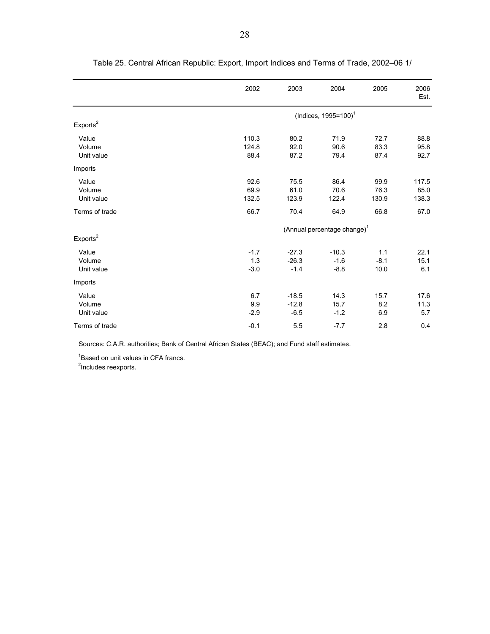|                      | 2002   | 2003    | 2004                                    | 2005   | 2006<br>Est. |
|----------------------|--------|---------|-----------------------------------------|--------|--------------|
|                      |        |         | (Indices, $1995 = 100$ ) <sup>1</sup>   |        |              |
| Exports <sup>2</sup> |        |         |                                         |        |              |
| Value                | 110.3  | 80.2    | 71.9                                    | 72.7   | 88.8         |
| Volume               | 124.8  | 92.0    | 90.6                                    | 83.3   | 95.8         |
| Unit value           | 88.4   | 87.2    | 79.4                                    | 87.4   | 92.7         |
| Imports              |        |         |                                         |        |              |
| Value                | 92.6   | 75.5    | 86.4                                    | 99.9   | 117.5        |
| Volume               | 69.9   | 61.0    | 70.6                                    | 76.3   | 85.0         |
| Unit value           | 132.5  | 123.9   | 122.4                                   | 130.9  | 138.3        |
| Terms of trade       | 66.7   | 70.4    | 64.9                                    | 66.8   | 67.0         |
|                      |        |         | (Annual percentage change) <sup>1</sup> |        |              |
| Exports <sup>2</sup> |        |         |                                         |        |              |
| Value                | $-1.7$ | $-27.3$ | $-10.3$                                 | 1.1    | 22.1         |
| Volume               | 1.3    | $-26.3$ | $-1.6$                                  | $-8.1$ | 15.1         |
| Unit value           | $-3.0$ | $-1.4$  | $-8.8$                                  | 10.0   | 6.1          |
| Imports              |        |         |                                         |        |              |
| Value                | 6.7    | $-18.5$ | 14.3                                    | 15.7   | 17.6         |
| Volume               | 9.9    | $-12.8$ | 15.7                                    | 8.2    | 11.3         |
| Unit value           | $-2.9$ | $-6.5$  | $-1.2$                                  | 6.9    | 5.7          |
| Terms of trade       | $-0.1$ | 5.5     | $-7.7$                                  | 2.8    | 0.4          |

|  | Table 25. Central African Republic: Export, Import Indices and Terms of Trade, 2002–06 1/ |  |  |
|--|-------------------------------------------------------------------------------------------|--|--|
|--|-------------------------------------------------------------------------------------------|--|--|

<sup>1</sup>Based on unit values in CFA francs.

<sup>2</sup>Includes reexports.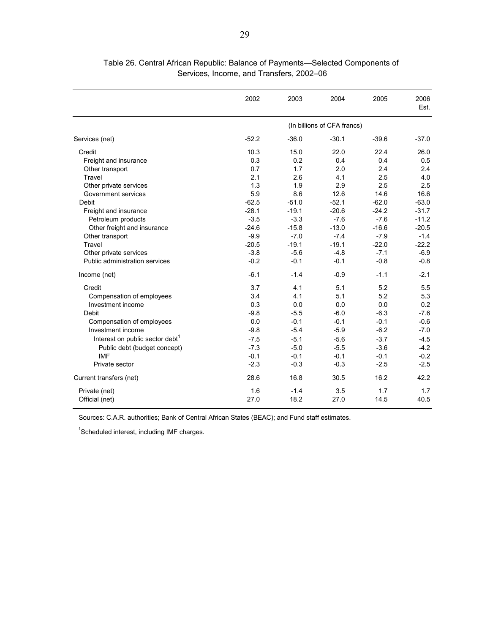|                                             | 2002                        | 2003    | 2004    | 2005    | 2006<br>Est. |
|---------------------------------------------|-----------------------------|---------|---------|---------|--------------|
|                                             | (In billions of CFA francs) |         |         |         |              |
| Services (net)                              | $-52.2$                     | $-36.0$ | $-30.1$ | $-39.6$ | $-37.0$      |
| Credit                                      | 10.3                        | 15.0    | 22.0    | 22.4    | 26.0         |
| Freight and insurance                       | 0.3                         | 0.2     | 0.4     | 0.4     | 0.5          |
| Other transport                             | 0.7                         | 1.7     | 2.0     | 2.4     | 2.4          |
| Travel                                      | 2.1                         | 2.6     | 4.1     | 2.5     | 4.0          |
| Other private services                      | 1.3                         | 1.9     | 2.9     | 2.5     | 2.5          |
| Government services                         | 5.9                         | 8.6     | 12.6    | 14.6    | 16.6         |
| <b>Debit</b>                                | $-62.5$                     | $-51.0$ | $-52.1$ | $-62.0$ | $-63.0$      |
| Freight and insurance                       | $-28.1$                     | $-19.1$ | $-20.6$ | $-24.2$ | $-31.7$      |
| Petroleum products                          | $-3.5$                      | $-3.3$  | $-7.6$  | $-7.6$  | $-11.2$      |
| Other freight and insurance                 | $-24.6$                     | $-15.8$ | $-13.0$ | $-16.6$ | $-20.5$      |
| Other transport                             | $-9.9$                      | $-7.0$  | $-7.4$  | $-7.9$  | $-1.4$       |
| Travel                                      | $-20.5$                     | $-19.1$ | $-19.1$ | $-22.0$ | $-22.2$      |
| Other private services                      | $-3.8$                      | $-5.6$  | $-4.8$  | $-7.1$  | $-6.9$       |
| Public administration services              | $-0.2$                      | $-0.1$  | $-0.1$  | $-0.8$  | $-0.8$       |
| Income (net)                                | $-6.1$                      | $-1.4$  | $-0.9$  | $-1.1$  | $-2.1$       |
| Credit                                      | 3.7                         | 4.1     | 5.1     | 5.2     | 5.5          |
| Compensation of employees                   | 3.4                         | 4.1     | 5.1     | 5.2     | 5.3          |
| Investment income                           | 0.3                         | 0.0     | 0.0     | 0.0     | 0.2          |
| Debit                                       | $-9.8$                      | $-5.5$  | $-6.0$  | $-6.3$  | $-7.6$       |
| Compensation of employees                   | 0.0                         | $-0.1$  | $-0.1$  | $-0.1$  | $-0.6$       |
| Investment income                           | $-9.8$                      | $-5.4$  | $-5.9$  | $-6.2$  | $-7.0$       |
| Interest on public sector debt <sup>1</sup> | $-7.5$                      | $-5.1$  | $-5.6$  | $-3.7$  | $-4.5$       |
| Public debt (budget concept)                | $-7.3$                      | $-5.0$  | $-5.5$  | $-3.6$  | $-4.2$       |
| <b>IMF</b>                                  | $-0.1$                      | $-0.1$  | $-0.1$  | $-0.1$  | $-0.2$       |
| Private sector                              | $-2.3$                      | $-0.3$  | $-0.3$  | $-2.5$  | $-2.5$       |
| Current transfers (net)                     | 28.6                        | 16.8    | 30.5    | 16.2    | 42.2         |
| Private (net)                               | 1.6                         | $-1.4$  | 3.5     | 1.7     | 1.7          |
| Official (net)                              | 27.0                        | 18.2    | 27.0    | 14.5    | 40.5         |

Table 26. Central African Republic: Balance of Payments—Selected Components of Services, Income, and Transfers, 2002–06

<sup>1</sup>Scheduled interest, including IMF charges.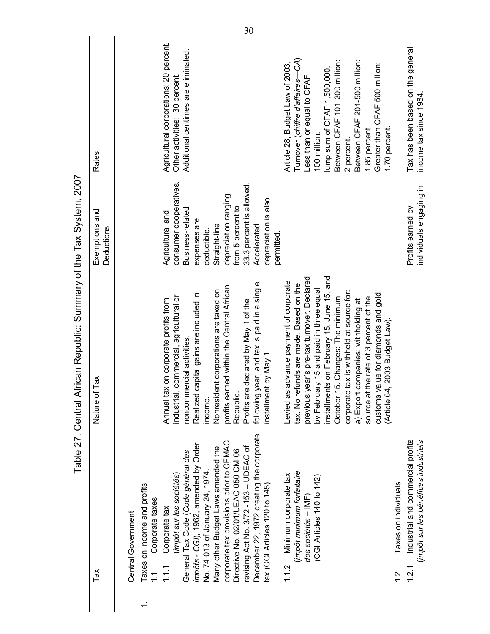| Table 27. Central                                                                                              | African Republic: Summary of the Tax System, 2007                                                                              |                                                 |                                                                                                     |
|----------------------------------------------------------------------------------------------------------------|--------------------------------------------------------------------------------------------------------------------------------|-------------------------------------------------|-----------------------------------------------------------------------------------------------------|
| Tax                                                                                                            | of Tax<br>Nature                                                                                                               | Exemptions and<br>Deductions                    | <b>Rates</b>                                                                                        |
| Central Government                                                                                             |                                                                                                                                |                                                 |                                                                                                     |
| Taxes on income and profits<br>Corporate taxes                                                                 |                                                                                                                                |                                                 |                                                                                                     |
| (impôt sur les sociétés)<br>Corporate tax<br>1.1.1                                                             | industrial, commercial, agricultural or<br>Annual tax on corporate profits from                                                | consumer cooperatives.<br>Agricultural and      | Agricultural corporations: 20 percent.<br>Other activities: 30 percent.                             |
| impôts - CG/), 1962, amended by Order<br>General Tax Code (Code général des<br>No. 74-013 of January 24, 1974. | Realized capital gains are included in<br>noncommercial activities<br>income                                                   | Business-related<br>expenses are<br>deductible. | Additional centimes are eliminated.                                                                 |
| Many other Budget Laws amended the                                                                             | Nonresident corporations are taxed on                                                                                          | Straight-line                                   |                                                                                                     |
| corporate tax provisions prior to CEMAC<br>Directive No. 02/01/UEAC-050 CM-06                                  | profits earned within the Central African<br>Republic.                                                                         | depreciation ranging<br>from 5 percent to       |                                                                                                     |
| revising Act No. 3/72-153 - UDEAC of                                                                           | Profits are declared by May 1 of the                                                                                           | 33.3 percent is allowed.                        |                                                                                                     |
| December 22, 1972 creating the corporate<br>tax (CGI Articles 120 to 145).                                     | following year, and tax is paid in a single<br>installment by May 1.                                                           | depreciation is also<br>Accelerated             |                                                                                                     |
|                                                                                                                |                                                                                                                                | permitted.                                      |                                                                                                     |
| (impôt minimum forfaitaire<br>1.1.2 Minimum corporate tax<br>des sociétés - IMF)                               | previous year's pre-tax turnover. Declared<br>Levied as advance payment of corporate<br>tax. No refunds are made. Based on the |                                                 | ξ<br>Article 28, Budget Law of 2003,<br>Less than or equal to CFAF<br>Turnover (chiffre d'affaires- |
| (CGI Articles 140 to 142)                                                                                      | by February 15 and paid in three equal                                                                                         |                                                 | 100 million:                                                                                        |
|                                                                                                                | installments on February 15, June 15, and<br>October 15. Changes: The minimum                                                  |                                                 | Between CFAF 101-200 million:<br>lump sum of CFAF 1,500,000.                                        |
|                                                                                                                | corporate tax is withheld at source for:                                                                                       |                                                 | 2 percent.                                                                                          |
|                                                                                                                | source at the rate of 3 percent of the<br>a) Export companies: withholding at                                                  |                                                 | Between CFAF 201-500 million:<br>1.85 percent.                                                      |
|                                                                                                                | customs value for diamonds and gold<br>64, 2003 Budget Law).<br>(Article                                                       |                                                 | Greater than CFAF 500 million:<br>1.70 percent.                                                     |
| Taxes on individuals                                                                                           |                                                                                                                                |                                                 |                                                                                                     |
| Industrial and commercial profits<br>(impôt sur les bénéfices industriels<br>1.2.1                             |                                                                                                                                | individuals engaging in<br>Profits earned by    | Tax has been based on the general<br>income tax since 1984.                                         |
|                                                                                                                |                                                                                                                                |                                                 |                                                                                                     |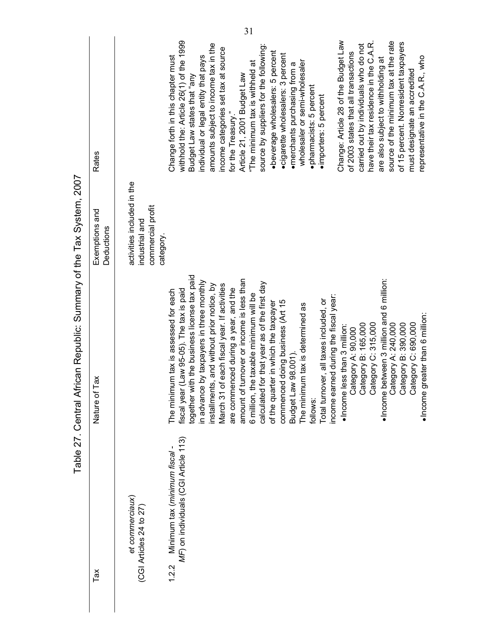|                                                                     |                              | 31                                                                                                                                                                                                                                                                                                                                                                                                                                                                                                                                                                                                                                                                                                                                                                                                                                                                                                                                                                           |  |
|---------------------------------------------------------------------|------------------------------|------------------------------------------------------------------------------------------------------------------------------------------------------------------------------------------------------------------------------------------------------------------------------------------------------------------------------------------------------------------------------------------------------------------------------------------------------------------------------------------------------------------------------------------------------------------------------------------------------------------------------------------------------------------------------------------------------------------------------------------------------------------------------------------------------------------------------------------------------------------------------------------------------------------------------------------------------------------------------|--|
|                                                                     | Rates                        | withhold the: Article 26(1) of the 1999<br>Change: Article 28 of the Budget Law<br>source of the minimum tax at the rate<br>of 15 percent. Nonresident taxpayers<br>have their tax residence in the C.A.R.<br>amounts subject to income tax in the<br>carried out by individuals who do not<br>source by suppliers for the following:<br>income categories set tax at source<br>•beverage wholesalers: 5 percent<br>of 2003 states that all transactions<br>·cigarette wholesalers: 3 percent<br>Change forth in this chapter must<br>individual or legal entity that pays<br>representative in the C.A.R., who<br>are also subject to withholding at<br>"The minimum tax is withheld at<br>wholesaler or semi-wholesaler<br>·merchants purchasing from a<br>must designate an accredited<br>Article 21, 2001 Budget Law<br>Budget Law states that "any<br>·pharmacists: 5 percent<br>·importers: 5 percent<br>for the Treasury.                                             |  |
|                                                                     | Exemptions and<br>Deductions | activities included in the<br>commercial profit<br>industrial and<br>category.                                                                                                                                                                                                                                                                                                                                                                                                                                                                                                                                                                                                                                                                                                                                                                                                                                                                                               |  |
| Table 27. Central African Republic: Summary of the Tax System, 2007 | Nature of Tax                | th the business license tax paid<br>amount of turnover or income is less than<br>·Income between 3 million and 6 million:<br>by taxpayers in three monthly<br>calculated for that year as of the first day<br>March 31 of each fiscal year. If activities<br>installments, and without prior notice, by<br>are commenced during a year, and the<br>Law 95-05). The tax is paid<br>The minimum tax is assessed for each<br>6 million, the taxable minimum will be<br>income earned during the fiscal year:<br>Total turnover, all taxes included, or<br>commenced doing business (Art 15<br>of the quarter in which the taxpayer<br>The minimum tax is determined as<br>eater than 6 million:<br>Category C: 315,000<br>Category C: 690,000<br>Category A: 240,000<br>Category B: 165,000<br>Category B: 390,000<br>·Income less than 3 million:<br>Category A: 90,000<br>Budget Law 98.001).<br>$\bullet$ Income gr<br>together wit<br>in advance<br>fiscal year<br>follows: |  |
|                                                                     | Tax                          | MF) on individuals (CGI Article 113)<br>Minimum tax (minimum fiscal -<br>et commerciaux)<br>(CGI Articles 24 to 27)<br>1.2.2                                                                                                                                                                                                                                                                                                                                                                                                                                                                                                                                                                                                                                                                                                                                                                                                                                                 |  |
|                                                                     |                              |                                                                                                                                                                                                                                                                                                                                                                                                                                                                                                                                                                                                                                                                                                                                                                                                                                                                                                                                                                              |  |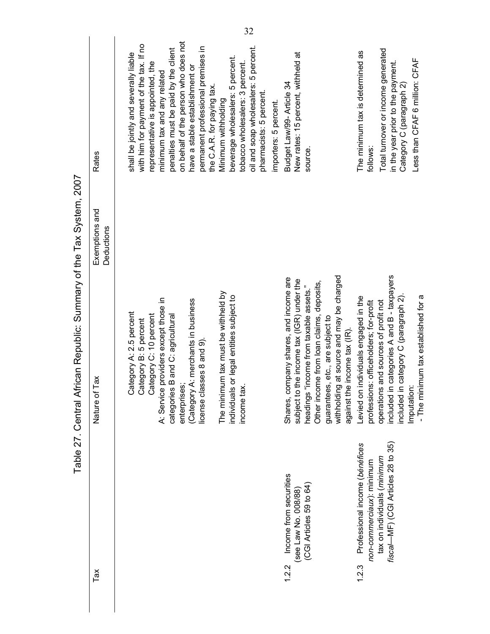|                                                                          |                              | 32                                                                                                                                                                                                                                                                                                                                                                                                                                                                                                                                 |                                                                                                                                                                                                                                                                                           |                                                                                                                                                                                                                                                                            |
|--------------------------------------------------------------------------|------------------------------|------------------------------------------------------------------------------------------------------------------------------------------------------------------------------------------------------------------------------------------------------------------------------------------------------------------------------------------------------------------------------------------------------------------------------------------------------------------------------------------------------------------------------------|-------------------------------------------------------------------------------------------------------------------------------------------------------------------------------------------------------------------------------------------------------------------------------------------|----------------------------------------------------------------------------------------------------------------------------------------------------------------------------------------------------------------------------------------------------------------------------|
|                                                                          | Rates                        | on behalf of the person who does not<br>with him for payment of the tax. If no<br>oil and soap wholesalers: 5 percent.<br>permanent professional premises in<br>penalties must be paid by the client<br>shall be jointly and severally liable<br>beverage wholesalers: 5 percent.<br>tobacco wholesalers: 3 percent.<br>representative is appointed, the<br>have a stable establishment or<br>minimum tax and any related<br>the C.A.R. for paying tax.<br>pharmacists: 5 percent.<br>Minimum withholding<br>importers: 5 percent. | New rates: 15 percent, withheld at<br>Budget Law/99- Article 34<br>source.                                                                                                                                                                                                                | Total turnover or income generated<br>The minimum tax is determined as<br>Less than CFAF 6 million: CFAF<br>in the year prior to the payment.<br>Category C (paragraph 2)<br>follows:                                                                                      |
|                                                                          | Exemptions and<br>Deductions |                                                                                                                                                                                                                                                                                                                                                                                                                                                                                                                                    |                                                                                                                                                                                                                                                                                           |                                                                                                                                                                                                                                                                            |
| ican Republic: Summary of the Tax System, 2007<br>Table 27. Central Afri | Nature of Tax                | The minimum tax must be withheld by<br>or legal entities subject to<br>providers except those in<br>(Category A: merchants in business<br>egory A: 2.5 percent<br>Category C: 10 percent<br>B and C: agricultural<br>Category B: 5 percent<br>license classes 8 and 9)<br>්<br>ර<br>enterprises;<br>income tax.<br>individuals<br>A: Service<br>categories                                                                                                                                                                         | withholding at source and may be charged<br>Shares, company shares, and income are<br>subject to the income tax (IGR) under the<br>Other income from loan claims, deposits,<br>headings "income from taxable assets."<br>guarantees, etc., are subject to<br>against the income tax (IR). | categories A and B - taxpayers<br>Levied on individuals engaged in the<br>mum tax established for a<br>category C (paragraph 2)<br>professions: officeholders; for-profit<br>operations and sources of profit not<br>Imputation:<br>included in<br>included in<br>The mini |
|                                                                          |                              |                                                                                                                                                                                                                                                                                                                                                                                                                                                                                                                                    | Income from securities<br>(CGI Articles 59 to 64)<br>(see Law No. 008/88)                                                                                                                                                                                                                 | fiscal—MF) (CGI Articles 28 to 35)<br>Professional income (bénéfices<br>tax on individuals (minimum<br>non-commerciaux): minimum                                                                                                                                           |
|                                                                          | Tax                          |                                                                                                                                                                                                                                                                                                                                                                                                                                                                                                                                    | 1.2.2                                                                                                                                                                                                                                                                                     | 1.2.3                                                                                                                                                                                                                                                                      |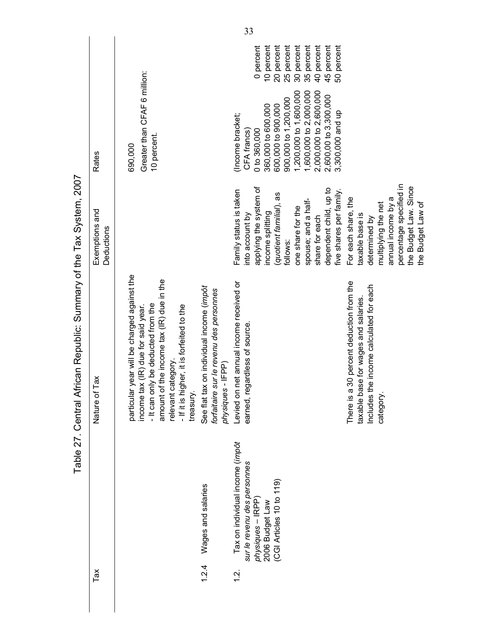|               |                                                                                                                                   | Table 27. Central African Republic: Summary of the Tax System, 2007                                                                                                                                                                                 |                                                                                                                                                                                                                                                   |                                                                                                                                                                                                                                                |                                                                                                                              |
|---------------|-----------------------------------------------------------------------------------------------------------------------------------|-----------------------------------------------------------------------------------------------------------------------------------------------------------------------------------------------------------------------------------------------------|---------------------------------------------------------------------------------------------------------------------------------------------------------------------------------------------------------------------------------------------------|------------------------------------------------------------------------------------------------------------------------------------------------------------------------------------------------------------------------------------------------|------------------------------------------------------------------------------------------------------------------------------|
| Tax           |                                                                                                                                   | Nature of Tax                                                                                                                                                                                                                                       | Exemptions and<br>Deductions                                                                                                                                                                                                                      | <b>Rates</b>                                                                                                                                                                                                                                   |                                                                                                                              |
|               |                                                                                                                                   | particular year will be charged against the<br>amount of the income tax (IR) due in the<br>- It can only be deducted from the<br>- If it is higher, it is forfeited to the<br>income tax (IR) due for said year.<br>relevant category.<br>treasury. |                                                                                                                                                                                                                                                   | Greater than CFAF 6 million:<br>10 percent.<br>690,000                                                                                                                                                                                         |                                                                                                                              |
| 1.2.4         | Wages and salaries                                                                                                                | See flat tax on individual income (impôt<br>forfaitaire sur le revenu des personnes<br>physiques - IFPP)                                                                                                                                            |                                                                                                                                                                                                                                                   |                                                                                                                                                                                                                                                |                                                                                                                              |
| $\frac{2}{1}$ | Tax on individual income (impôt<br>sur le revenu des personnes<br>(CGI Articles 10 to 119)<br>physiques - IRPP<br>2006 Budget Law | Levied on net annual income received or<br>earned, regardless of source                                                                                                                                                                             | applying the system of<br>dependent child, up to<br>five shares per family.<br>Family status is taken<br>(quotient familial), as<br>spouse; and a half-<br>one share for the<br>income splitting<br>into account by<br>share for each<br>follows: | 1,200,000 to 1,600,000<br>1,600,000 to 2,000,000<br>2,000,000 to 2,600,000<br>2,600,00 to 3,300,000<br>900,000 to 1,200,000<br>360,000 to 600,000<br>600,000 to 900,000<br>3,300,000 and up<br>(Income bracket;<br>0 to 360,000<br>CFA francs) | 10 percent<br>25 percent<br>20 percent<br>30 percent<br>35 percent<br>40 percent<br>45 percent<br>0 percent<br>percent<br>50 |
|               |                                                                                                                                   | There is a 30 percent deduction from the<br>Includes the income calculated for each<br>taxable base for wages and salaries.<br>category.                                                                                                            | percentage specified in<br>the Budget Law. Since<br>For each share, the<br>annual income by a<br>the Budget Law of<br>multiplying the net<br>taxable base is<br>determined by                                                                     |                                                                                                                                                                                                                                                |                                                                                                                              |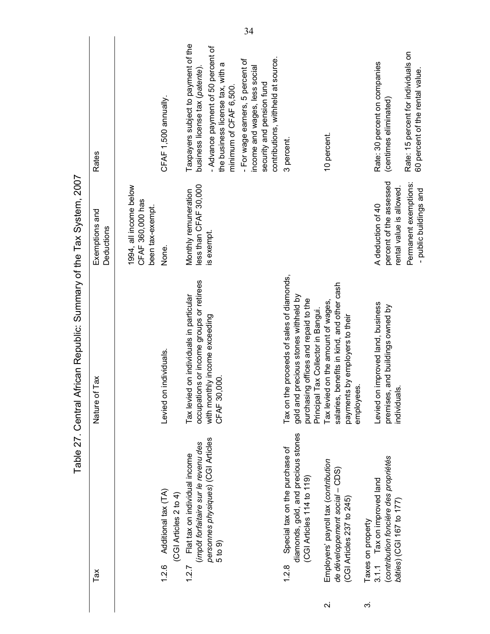|                                                                     |                              |                                                                |                                                      |                                                                                                                                                                           | 34                                                                                                                                   |                                                                                                                                                                    |                                                                                                                                 |                                                                                                                      |                                                                        |
|---------------------------------------------------------------------|------------------------------|----------------------------------------------------------------|------------------------------------------------------|---------------------------------------------------------------------------------------------------------------------------------------------------------------------------|--------------------------------------------------------------------------------------------------------------------------------------|--------------------------------------------------------------------------------------------------------------------------------------------------------------------|---------------------------------------------------------------------------------------------------------------------------------|----------------------------------------------------------------------------------------------------------------------|------------------------------------------------------------------------|
|                                                                     | Rates                        |                                                                | CFAF 1,500 annually.                                 | Taxpayers subject to payment of the<br>- Advance payment of 50 percent of<br>the business license tax, with a<br>business license tax (patente)<br>minimum of CFAF 6,500. | contributions, withheld at source.<br>- For wage earners, 5 percent of<br>income and wages, less social<br>security and pension fund | 3 percent.                                                                                                                                                         | 10 percent.                                                                                                                     | Rate: 30 percent on companies<br>(centimes eliminated)                                                               | Rate: 15 percent for individuals on<br>60 percent of the rental value. |
|                                                                     | Exemptions and<br>Deductions | 1994, all income below<br>CFAF 360,000 has<br>been tax-exempt. | None.                                                | less than CFAF 30,000<br>Monthly remuneration<br>is exempt.                                                                                                               |                                                                                                                                      |                                                                                                                                                                    |                                                                                                                                 | percent of the assessed<br>rental value is allowed<br>A deduction of 40                                              | Permanent exemptions:<br>- public buildings and                        |
| Table 27. Central African Republic: Summary of the Tax System, 2007 | Nature of Tax                |                                                                | Levied on individuals.                               | occupations or income groups or retirees<br>Tax levied on individuals in particular<br>with monthly income exceeding<br>CFAF 30,000                                       |                                                                                                                                      | Tax on the proceeds of sales of diamonds,<br>gold and precious stones withheld by<br>offices and repaid to the<br>Principal Tax Collector in Bangui.<br>purchasing | salaries, benefits in kind, and other cash<br>Tax levied on the amount of wages<br>payments by employers to their<br>employees. | Levied on improved land, business<br>premises, and buildings owned by<br>individuals.                                |                                                                        |
|                                                                     | Tax                          |                                                                | Additional tax (TA)<br>(CGI Articles 2 to 4)<br>1.26 | personnes physiques) (CGI Articles<br>(impôt forfaitaire sur le revenu des<br>Flat tax on individual income<br>5 to 9<br>1.2.7                                            |                                                                                                                                      | diamonds, gold, and precious stones<br>Special tax on the purchase of<br>(CGI Articles 114 to 119)<br>1.2.8                                                        | Employers' payroll tax (contribution<br>de développement social - CDS)<br>(CGI Articles 237 to 245)                             | (contribution foncière des propriétés<br>3.1.1 Tax on improved land<br>baties) (CGI 167 to 177)<br>Taxes on property |                                                                        |
|                                                                     |                              |                                                                |                                                      |                                                                                                                                                                           |                                                                                                                                      |                                                                                                                                                                    | $\overline{\mathsf{N}}$                                                                                                         | က                                                                                                                    |                                                                        |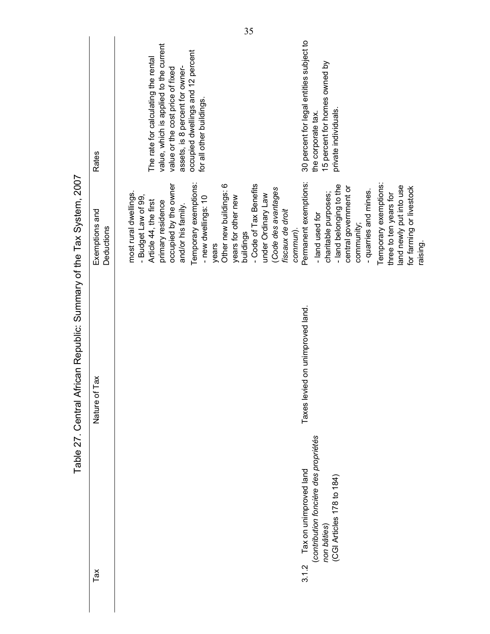|                                                                     |                              | 35                                                                                                                                                                                                                                                                                                                                                                                                                                                                                                                                                                                                                                                         |
|---------------------------------------------------------------------|------------------------------|------------------------------------------------------------------------------------------------------------------------------------------------------------------------------------------------------------------------------------------------------------------------------------------------------------------------------------------------------------------------------------------------------------------------------------------------------------------------------------------------------------------------------------------------------------------------------------------------------------------------------------------------------------|
|                                                                     | Rates                        | 30 percent for legal entities subject to<br>value, which is applied to the current<br>occupied dwellings and 12 percent<br>The rate for calculating the rental<br>15 percent for homes owned by<br>assets, is 8 percent for owner-<br>value or the cost price of fixed<br>for all other buildings.<br>private individuals.<br>the corporate tax.                                                                                                                                                                                                                                                                                                           |
|                                                                     | Exemptions and<br>Deductions | Permanent exemptions:<br>occupied by the owner<br>Temporary exemptions:<br>Other new buildings: 6<br>Temporary exemptions:<br>- Code of Tax Benefits<br>- land belonging to the<br>land newly put into use<br>central government or<br>for farming or livestock<br>Code des avantages<br>- quarries and mines.<br>most rural dwellings.<br>three to ten years for<br>charitable purposes;<br>under Ordinary Law<br>- Budget Law of 99,<br>years for other new<br>- new dwellings: 10<br>Article 44, the first<br>primary residence<br>and/or his family.<br>fiscaux de droit<br>-land used for<br>community;<br>commun).<br>buildings<br>raising.<br>years |
| Table 27. Central African Republic: Summary of the Tax System, 2007 | Tax<br>Nature of             | Taxes levied on unimproved land.                                                                                                                                                                                                                                                                                                                                                                                                                                                                                                                                                                                                                           |
|                                                                     | Tax                          | (contribution foncière des propriétés<br>Tax on unimproved land<br>(CGI Articles 178 to 184)<br>non bâties)<br>3.1.2                                                                                                                                                                                                                                                                                                                                                                                                                                                                                                                                       |
|                                                                     |                              |                                                                                                                                                                                                                                                                                                                                                                                                                                                                                                                                                                                                                                                            |

 $\overline{\phantom{a}}$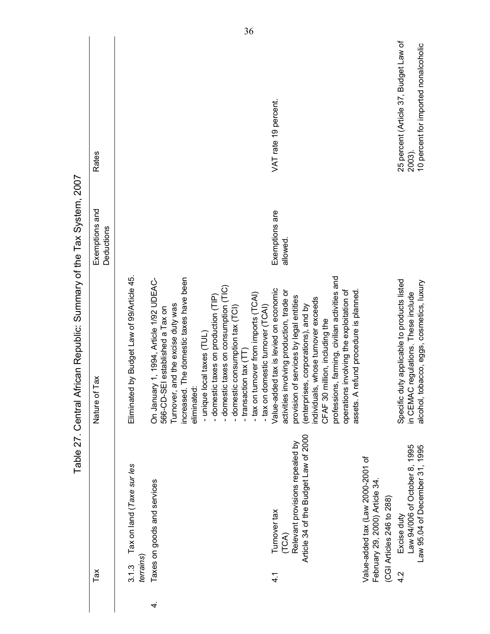|                                                   | Rates                        | 25 percent (Article 37, Budget Law of<br>VAT rate 19 percent.                                                                                                                                                                                                                                                                                                                                                                                                                                                                                                                                                                                                                                                                                                                                                                                                                                                             | 10 percent for imported nonalcoholic<br>2003).                                      |
|---------------------------------------------------|------------------------------|---------------------------------------------------------------------------------------------------------------------------------------------------------------------------------------------------------------------------------------------------------------------------------------------------------------------------------------------------------------------------------------------------------------------------------------------------------------------------------------------------------------------------------------------------------------------------------------------------------------------------------------------------------------------------------------------------------------------------------------------------------------------------------------------------------------------------------------------------------------------------------------------------------------------------|-------------------------------------------------------------------------------------|
|                                                   | Exemptions and<br>Deductions | Exemptions are<br>allowed                                                                                                                                                                                                                                                                                                                                                                                                                                                                                                                                                                                                                                                                                                                                                                                                                                                                                                 |                                                                                     |
| African Republic: Summary of the Tax System, 2007 | of Tax<br>Nature             | Eliminated by Budget Law of 99/Article 45.<br>professions, farming, civilian activities and<br>increased. The domestic taxes have been<br>On January 1, 1994, Article 1/92 UDEAC-<br>Specific duty applicable to products listed<br>- domestic taxes on consumption (TIC)<br>Value-added tax is levied on economic<br>activities involving production, trade or<br>operations involving the exploitation of<br>A refund procedure is planned<br>- tax on turnover from imports (TCAI)<br>- domestic taxes on production (TIP)<br>provision of services by legal entities<br>individuals, whose turnover exceeds<br>Turnover, and the excise duty was<br>- tax on domestic turnover (TCAI)<br>(enterprises, corporations), and by<br>-domestic consumption tax (TCI)<br>566-CD-SEI established a Tax on<br>CFAF 30 million, including the<br>- unique local taxes (TUL)<br>-transaction tax (TT)<br>eliminated:<br>assets. | tobacco, eggs, cosmetics, luxury<br>in CEMAC regulations. These include<br>alcohol, |
| Table 27. Central                                 | Tax                          | Article 34 of the Budget Law of 2000<br>Relevant provisions repealed by<br>Value-added tax (Law 2000-2001 of<br>Tax on land (Taxe sur les<br>February 29, 2000) Article 34.<br>Taxes on goods and services<br>(CGI Articles 246 to 288)<br>Turnover tax<br>Excise duty<br>(TCA)<br>terrains)<br>3.1.3<br>4.2<br>$\frac{1}{4}$                                                                                                                                                                                                                                                                                                                                                                                                                                                                                                                                                                                             | Law 94/006 of October 8, 1995<br>Law 95.04 of December 31, 1995                     |
|                                                   |                              |                                                                                                                                                                                                                                                                                                                                                                                                                                                                                                                                                                                                                                                                                                                                                                                                                                                                                                                           |                                                                                     |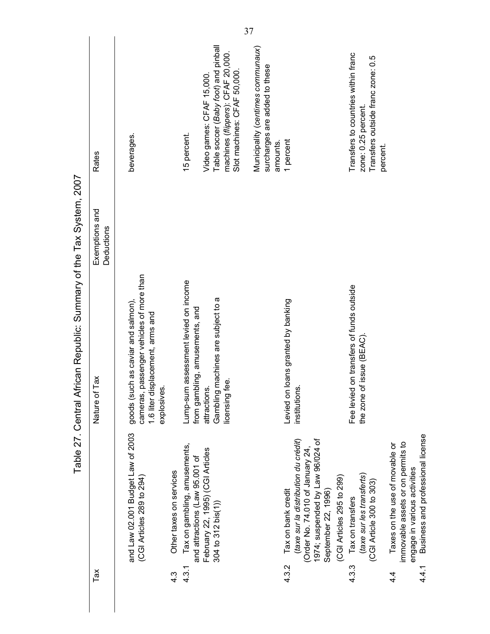|                                                                     |                              |                                                                                                                                   |                         | 37                                                                                                                                                  |                                                                                |                                                                                                                                                                                        |                                                                                                             |                                                                                                                                          |
|---------------------------------------------------------------------|------------------------------|-----------------------------------------------------------------------------------------------------------------------------------|-------------------------|-----------------------------------------------------------------------------------------------------------------------------------------------------|--------------------------------------------------------------------------------|----------------------------------------------------------------------------------------------------------------------------------------------------------------------------------------|-------------------------------------------------------------------------------------------------------------|------------------------------------------------------------------------------------------------------------------------------------------|
|                                                                     | Rates                        | beverages.                                                                                                                        |                         | Table soccer (Baby foot) and pinball<br>machines (flippers): CFAF 20,000.<br>Slot machines: CFAF 50,000<br>Video games: CFAF 15,000.<br>15 percent. | Municipality (centimes communaux)<br>surcharges are added to these<br>amounts. | 1 percent                                                                                                                                                                              | Transfers to countries within franc<br>Transfers outside franc zone: 0.5<br>zone: 0.25 percent.<br>percent. |                                                                                                                                          |
|                                                                     | Exemptions and<br>Deductions |                                                                                                                                   |                         |                                                                                                                                                     |                                                                                |                                                                                                                                                                                        |                                                                                                             |                                                                                                                                          |
| Table 27. Central African Republic: Summary of the Tax System, 2007 | Nature of Tax                | cameras, passenger vehicles of more than<br>goods (such as caviar and salmon),<br>1.6 liter displacement, arms and<br>explosives. |                         | Lump-sum assessment levied on income<br>Gambling machines are subject to a<br>ng, amusements, and<br>licensing fee<br>from gambli<br>attractions.   |                                                                                | Levied on loans granted by banking<br>institutions.                                                                                                                                    | Fee levied on transfers of funds outside<br>issue (BEAC)<br>the zone of                                     |                                                                                                                                          |
|                                                                     |                              | and Law 02.001 Budget Law of 2003<br>(CGI Articles 289 to 294)                                                                    | Other taxes on services | Tax on gambling, amusements,<br>February 22, 1995) (CGI Articles<br>and attractions (Law 95.001 of<br>304 to 312 bis(1))                            |                                                                                | (taxe sur la distribution du crédit)<br>1974; suspended by Law 96/024 of<br>(Order No. 74.010 of January 24,<br>(CGI Articles 295 to 299)<br>Tax on bank credit<br>September 22, 1996) | (taxe sur les transferts)<br>(CGI Article 300 to 303)<br>Tax on transfers                                   | Business and professional license<br>immovable assets or on permits to<br>Taxes on the use of movable or<br>engage in various activities |
|                                                                     | Tax                          |                                                                                                                                   | $4.\overline{3}$        | 4.3.1                                                                                                                                               |                                                                                | 4.3.2                                                                                                                                                                                  | 4.3.3                                                                                                       | 4.4.1<br>$4\overline{4}$                                                                                                                 |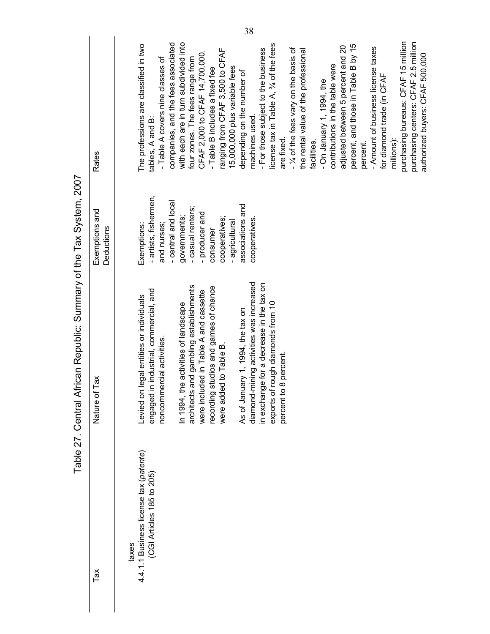|                                                                     |                              | 38                                                                                                                                                                                                                                                                                                                                                                                                                                                                                                                                                                                                                                                                                                                                                                                                                                                                                                                                                                |
|---------------------------------------------------------------------|------------------------------|-------------------------------------------------------------------------------------------------------------------------------------------------------------------------------------------------------------------------------------------------------------------------------------------------------------------------------------------------------------------------------------------------------------------------------------------------------------------------------------------------------------------------------------------------------------------------------------------------------------------------------------------------------------------------------------------------------------------------------------------------------------------------------------------------------------------------------------------------------------------------------------------------------------------------------------------------------------------|
|                                                                     | Rates                        | purchasing bureaus: CFAF 15 million<br>purchasing centers: CFAF 2.5 million<br>companies, and the fees associated<br>with each are in turn subdivided into<br>The professions are classified in two<br>license tax in Table A, 34 of the fees<br>percent, and those in Table B by 15<br>adjusted between 5 percent and 20<br>- Amount of business license taxes<br>- % of the fees vary on the basis of<br>- For those subject to the business<br>ranging from CFAF 3,500 to CFAF<br>the rental value of the professional<br>CFAF 2,000 to CFAF 14,700,000.<br>authorized buyers: CFAF 500,000<br>four zones. The fees range from<br>- Table A covers nine classes of<br>contributions in the table were<br>15,000,000 plus variable fees<br>- Table B includes a fixed fee<br>depending on the number of<br>for diamond trade (in CFAF<br>- On January 1, 1994, the<br>machines used.<br>tables, A and B:<br>are fixed.<br>millions):<br>facilities.<br>percent. |
|                                                                     | Exemptions and<br>Deductions | - artists, fishermen,<br>- central and local<br>associations and<br>- casual renters;<br>- producer and<br>governments;<br>cooperatives;<br>cooperatives<br>- agricultural<br>Exemptions:<br>and nurses;<br>consumer                                                                                                                                                                                                                                                                                                                                                                                                                                                                                                                                                                                                                                                                                                                                              |
| Table 27. Central African Republic: Summary of the Tax System, 2007 | Nature of Tax                | diamond-mining activities was increased<br>in exchange for a decrease in the tax on<br>architects and gambling establishments<br>recording studios and games of chance<br>engaged in industrial, commercial, and<br>were included in Table A and cassette<br>Levied on legal entities or individuals<br>activities of landscape<br>exports of rough diamonds from 10<br>As of January 1, 1994, the tax on<br>noncommercial activities.<br>were added to Table B.<br>percent<br>In 1994, the<br>percent to 8                                                                                                                                                                                                                                                                                                                                                                                                                                                       |
|                                                                     | Tax                          | 4.4.1.1 Business license tax (patente)<br>(CGI Articles 185 to 205)<br>taxes                                                                                                                                                                                                                                                                                                                                                                                                                                                                                                                                                                                                                                                                                                                                                                                                                                                                                      |
|                                                                     |                              |                                                                                                                                                                                                                                                                                                                                                                                                                                                                                                                                                                                                                                                                                                                                                                                                                                                                                                                                                                   |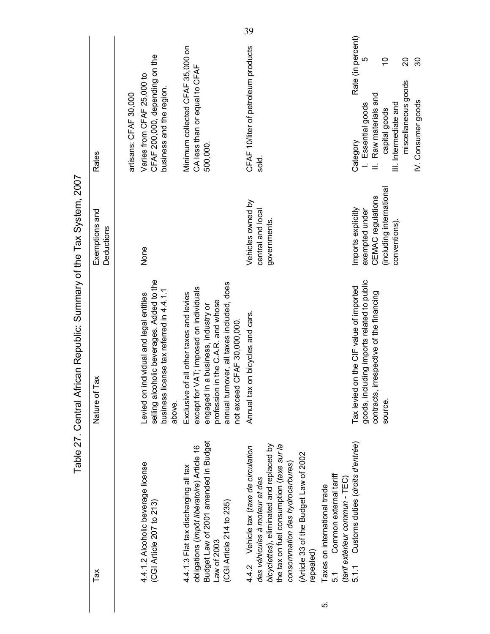| Table 27. Central African Republic: Summary of the Tax System, 2007<br>selling alcoholic beverages. Added to the<br>goods, including imports related to public<br>annual turnover, all taxes included, does<br>Tax levied on the CIF value of imported<br>except for VAT; imposed on individuals<br>license tax referred in 4.4.1.1<br>Exclusive of all other taxes and levies<br>Levied on individual and legal entities<br>profession in the C.A.R. and whose<br>in a business, industry or<br>Annual tax on bicycles and cars.<br>not exceed CFAF 30,000,000.<br>Nature of Tax<br>business<br>engaged<br>above.<br>Budget Law of 2001 amended in Budget<br>Customs duties (droits d'entrée)<br>bicyclettes), eliminated and replaced by<br>the tax on fuel consumption (taxe sur la<br>obligations (impôt libératoire) Article 16<br>4.4.2 Vehicle tax (taxe de circulation<br>(Article 33 of the Budget Law of 2002<br>4.4.1.2 Alcoholic beverage license<br>consommation des hydrocarbures)<br>4.4.1.3 Flat tax discharging all tax<br>Common external tariff<br>(tarif extérieur commun - TEC)<br>des véhicules à moteur et des<br>Taxes on international trade | (including international<br>CEMAC regulations<br>exempted under<br>conventions).<br>contracts, irrespective of the financing<br>source. |  |
|-----------------------------------------------------------------------------------------------------------------------------------------------------------------------------------------------------------------------------------------------------------------------------------------------------------------------------------------------------------------------------------------------------------------------------------------------------------------------------------------------------------------------------------------------------------------------------------------------------------------------------------------------------------------------------------------------------------------------------------------------------------------------------------------------------------------------------------------------------------------------------------------------------------------------------------------------------------------------------------------------------------------------------------------------------------------------------------------------------------------------------------------------------------------------|-----------------------------------------------------------------------------------------------------------------------------------------|--|
| (CGI Article 214 to 235)<br>(CGI Article 207 to 213)<br>Law of 2003<br>repealed)<br>5.1.1<br>5.1<br>Tax                                                                                                                                                                                                                                                                                                                                                                                                                                                                                                                                                                                                                                                                                                                                                                                                                                                                                                                                                                                                                                                               |                                                                                                                                         |  |

39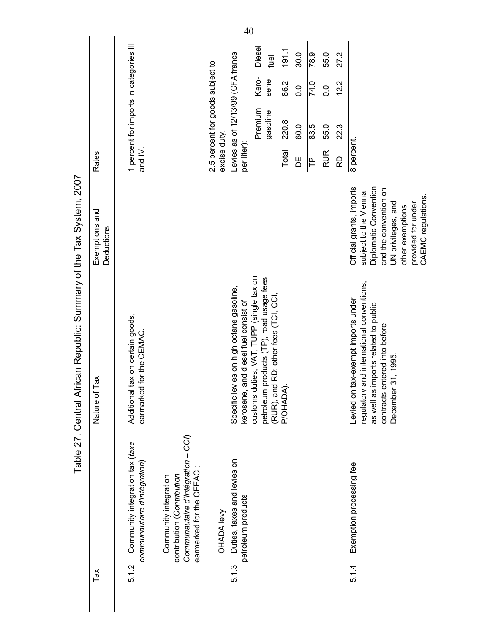|                                                                     |                              |                                                                          |                                                                                                                       |                                  | 40                                                                               |                                          |                                                                                    |           |               |      |                  |      |                                                                                                                                                                                           |
|---------------------------------------------------------------------|------------------------------|--------------------------------------------------------------------------|-----------------------------------------------------------------------------------------------------------------------|----------------------------------|----------------------------------------------------------------------------------|------------------------------------------|------------------------------------------------------------------------------------|-----------|---------------|------|------------------|------|-------------------------------------------------------------------------------------------------------------------------------------------------------------------------------------------|
|                                                                     |                              |                                                                          |                                                                                                                       |                                  |                                                                                  | <b>Diesel</b>                            | fuel                                                                               | 191.1     | 30.0          | 78.9 | 55.0             | 27.2 |                                                                                                                                                                                           |
|                                                                     |                              |                                                                          |                                                                                                                       |                                  |                                                                                  | Kero-                                    | sene                                                                               | 86.2      | $\frac{0}{0}$ | 74.0 | $\overline{0}$ . | 12.2 |                                                                                                                                                                                           |
|                                                                     |                              | 1 percent for imports in categories III                                  |                                                                                                                       | 2.5 percent for goods subject to | Levies as of 12/13/99 (CFA francs                                                | Premium                                  | gasoline                                                                           | 220.8     | 60.0          | 83.5 | 55.0             | 22.3 |                                                                                                                                                                                           |
|                                                                     | Rates                        | and IV.                                                                  |                                                                                                                       | excise duty                      | per liter):                                                                      |                                          |                                                                                    | Total     | Ь             | ΓP   | <b>RUR</b>       | RD   | 8 percent.                                                                                                                                                                                |
| Table 27. Central African Republic: Summary of the Tax System, 2007 | Exemptions and<br>Deductions |                                                                          |                                                                                                                       |                                  |                                                                                  |                                          |                                                                                    |           |               |      |                  |      | Official grants, imports<br>Diplomatic Convention<br>and the convention on<br>subject to the Vienna<br>CAEMC regulations.<br>UN privileges, and<br>provided for under<br>other exemptions |
|                                                                     | Nature of Tax                | Additional tax on certain goods,<br>for the CEMAC.<br>earmarked          |                                                                                                                       |                                  | Specific levies on high octane gasoline,<br>kerosene, and diesel fuel consist of | customs duties, VAT, TUPP (single tax on | petroleum products (TP), road usage fees<br>RD: other fees (TCI, CCI<br>(RUR), and | P/OHADA). |               |      |                  |      | regulatory and international conventions,<br>Levied on tax-exempt imports under<br>as well as imports related to public<br>contracts entered into before<br>December 31, 1995.            |
|                                                                     | Tax                          | Community integration tax (taxe<br>communautaire d'intégration)<br>5.1.2 | Communautaire d'Intégration - CCI)<br>earmarked for the CEEAC;<br>contribution (Contribution<br>Community integration | <b>OHADA levy</b>                | Duties, taxes and levies on<br>petroleum products<br>5.1.3                       |                                          |                                                                                    |           |               |      |                  |      | Exemption processing fee<br>5.14                                                                                                                                                          |
|                                                                     |                              |                                                                          |                                                                                                                       |                                  |                                                                                  |                                          |                                                                                    |           |               |      |                  |      |                                                                                                                                                                                           |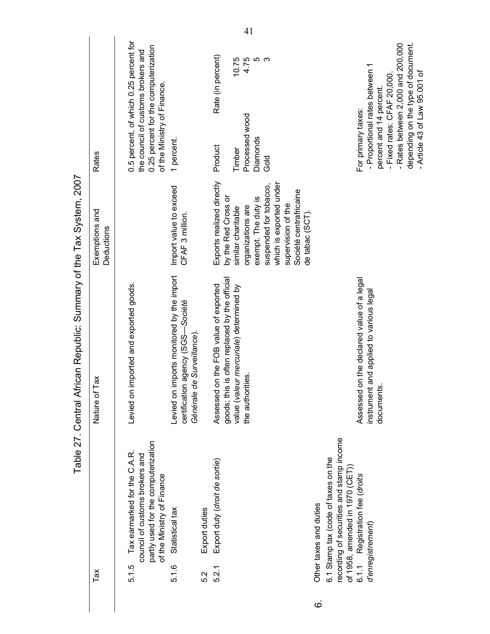41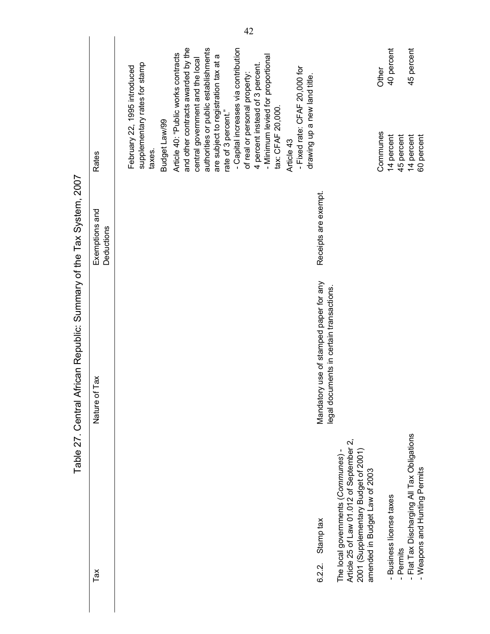|                                                |                              | 42                                                                                                                                                                                                                                                                                      |                                                                                       |                                                                                                                                                        |                          |                                                                                          |
|------------------------------------------------|------------------------------|-----------------------------------------------------------------------------------------------------------------------------------------------------------------------------------------------------------------------------------------------------------------------------------------|---------------------------------------------------------------------------------------|--------------------------------------------------------------------------------------------------------------------------------------------------------|--------------------------|------------------------------------------------------------------------------------------|
|                                                |                              | and other contracts awarded by the<br>authorities or public establishments<br>- Capital increases via contribution<br>Article 40: "Public works contracts<br>are subject to registration tax at a<br>- Minimum levied for proportional<br>central government and the local              |                                                                                       |                                                                                                                                                        | 40 percent<br>Other      | 45 percent                                                                               |
|                                                | <b>Rates</b>                 | supplementary rates for stamp<br>4 percent instead of 3 percent.<br>February 22, 1995 introduced<br>- Fixed rate: CFAF 20,000 for<br>of real or personal property:<br>drawing up a new land title.<br>tax: CFAF 20,000.<br>rate of 3 percent."<br>Budget Law/99<br>Article 43<br>taxes. |                                                                                       |                                                                                                                                                        | Communes<br>14 percent   | 45 percent<br>14 percent<br>60 percent                                                   |
| ican Republic: Summary of the Tax System, 2007 | Exemptions and<br>Deductions |                                                                                                                                                                                                                                                                                         | Receipts are exempt.                                                                  |                                                                                                                                                        |                          |                                                                                          |
|                                                | Nature of Tax                |                                                                                                                                                                                                                                                                                         | use of stamped paper for any<br>legal documents in certain transactions.<br>Mandatory |                                                                                                                                                        |                          |                                                                                          |
| Table 27. Central Afri                         | Tax                          |                                                                                                                                                                                                                                                                                         | Stamp tax<br>6.2.2                                                                    | Article 25 of Law 01.012 of September 2,<br>The local governments (Communes) -<br>2001 (Supplementary Budget of 2001)<br>amended in Budget Law of 2003 | - Business license taxes | - Flat Tax Discharging All Tax Obligations<br>- Weapons and Hunting Permits<br>- Permits |
|                                                |                              |                                                                                                                                                                                                                                                                                         |                                                                                       |                                                                                                                                                        |                          |                                                                                          |